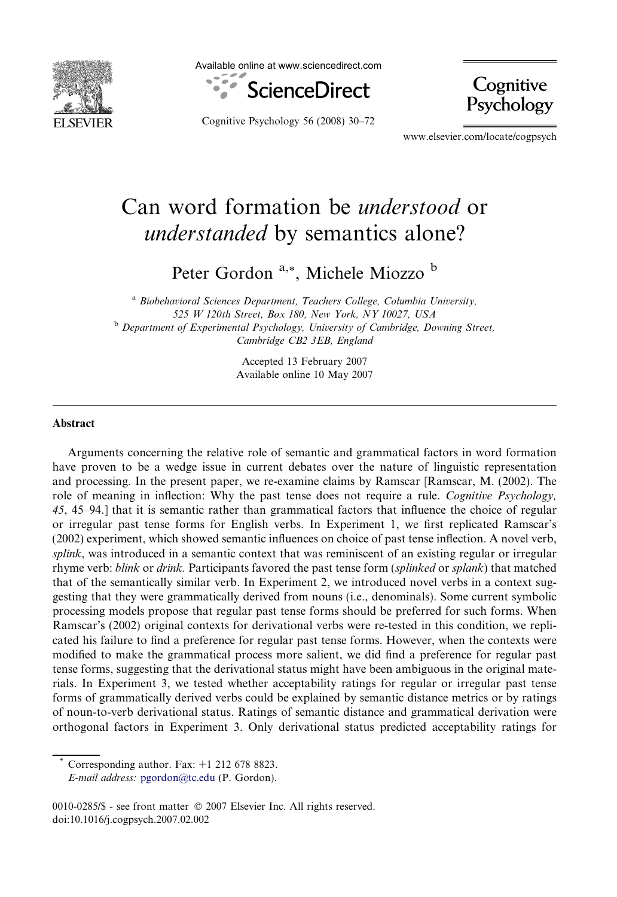

Available online at www.sciencedirect.com



Cognitive Psychology 56 (2008) 30–72

Cognitive Psychology

www.elsevier.com/locate/cogpsych

# Can word formation be understood or understanded by semantics alone?

Peter Gordon<sup>a,\*</sup>, Michele Miozzo<sup>b</sup>

<sup>a</sup> Biobehavioral Sciences Department, Teachers College, Columbia University, 525 W 120th Street, Box 180, New York, NY 10027, USA <sup>b</sup> Department of Experimental Psychology, University of Cambridge, Downing Street, Cambridge CB2 3EB, England

> Accepted 13 February 2007 Available online 10 May 2007

#### Abstract

Arguments concerning the relative role of semantic and grammatical factors in word formation have proven to be a wedge issue in current debates over the nature of linguistic representation and processing. In the present paper, we re-examine claims by Ramscar [Ramscar, M. (2002). The role of meaning in inflection: Why the past tense does not require a rule. Cognitive Psychology, 45, 45–94.] that it is semantic rather than grammatical factors that influence the choice of regular or irregular past tense forms for English verbs. In Experiment 1, we first replicated Ramscar's (2002) experiment, which showed semantic influences on choice of past tense inflection. A novel verb, splink, was introduced in a semantic context that was reminiscent of an existing regular or irregular rhyme verb: blink or drink. Participants favored the past tense form (splinked or splank) that matched that of the semantically similar verb. In Experiment 2, we introduced novel verbs in a context suggesting that they were grammatically derived from nouns (i.e., denominals). Some current symbolic processing models propose that regular past tense forms should be preferred for such forms. When Ramscar's (2002) original contexts for derivational verbs were re-tested in this condition, we replicated his failure to find a preference for regular past tense forms. However, when the contexts were modified to make the grammatical process more salient, we did find a preference for regular past tense forms, suggesting that the derivational status might have been ambiguous in the original materials. In Experiment 3, we tested whether acceptability ratings for regular or irregular past tense forms of grammatically derived verbs could be explained by semantic distance metrics or by ratings of noun-to-verb derivational status. Ratings of semantic distance and grammatical derivation were orthogonal factors in Experiment 3. Only derivational status predicted acceptability ratings for

Corresponding author. Fax:  $+1$  212 678 8823. E-mail address: [pgordon@tc.edu](mailto:pgordon@tc.edu) (P. Gordon).

0010-0285/\$ - see front matter © 2007 Elsevier Inc. All rights reserved. doi:10.1016/j.cogpsych.2007.02.002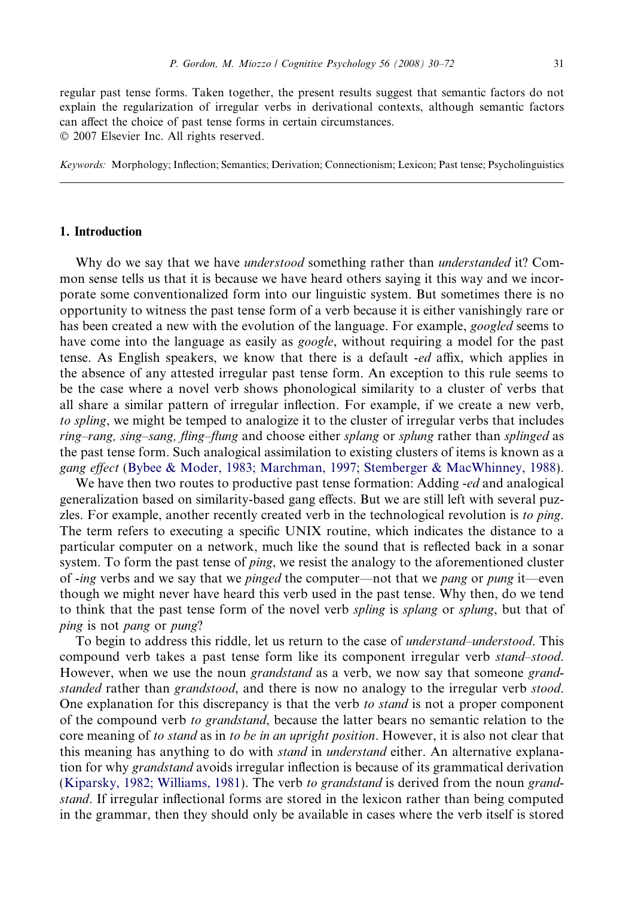regular past tense forms. Taken together, the present results suggest that semantic factors do not explain the regularization of irregular verbs in derivational contexts, although semantic factors can affect the choice of past tense forms in certain circumstances. © 2007 Elsevier Inc. All rights reserved.

Keywords: Morphology; Inflection; Semantics; Derivation; Connectionism; Lexicon; Past tense; Psycholinguistics

#### 1. Introduction

Why do we say that we have *understood* something rather than *understanded* it? Common sense tells us that it is because we have heard others saying it this way and we incorporate some conventionalized form into our linguistic system. But sometimes there is no opportunity to witness the past tense form of a verb because it is either vanishingly rare or has been created a new with the evolution of the language. For example, *googled* seems to have come into the language as easily as *google*, without requiring a model for the past tense. As English speakers, we know that there is a default -ed affix, which applies in the absence of any attested irregular past tense form. An exception to this rule seems to be the case where a novel verb shows phonological similarity to a cluster of verbs that all share a similar pattern of irregular inflection. For example, if we create a new verb, to spling, we might be temped to analogize it to the cluster of irregular verbs that includes ring–rang, sing–sang, fling–flung and choose either splang or splung rather than splinged as the past tense form. Such analogical assimilation to existing clusters of items is known as a gang effect ([Bybee & Moder, 1983; Marchman, 1997; Stemberger & MacWhinney, 1988\)](#page-41-0).

We have then two routes to productive past tense formation: Adding *-ed* and analogical generalization based on similarity-based gang effects. But we are still left with several puzzles. For example, another recently created verb in the technological revolution is to ping. The term refers to executing a specific UNIX routine, which indicates the distance to a particular computer on a network, much like the sound that is reflected back in a sonar system. To form the past tense of *ping*, we resist the analogy to the aforementioned cluster of -ing verbs and we say that we pinged the computer—not that we pang or pung it—even though we might never have heard this verb used in the past tense. Why then, do we tend to think that the past tense form of the novel verb spling is splang or splung, but that of ping is not pang or pung?

To begin to address this riddle, let us return to the case of understand–understood. This compound verb takes a past tense form like its component irregular verb stand–stood. However, when we use the noun *grandstand* as a verb, we now say that someone *grand*standed rather than grandstood, and there is now no analogy to the irregular verb stood. One explanation for this discrepancy is that the verb to *stand* is not a proper component of the compound verb to grandstand, because the latter bears no semantic relation to the core meaning of to stand as in to be in an upright position. However, it is also not clear that this meaning has anything to do with *stand* in *understand* either. An alternative explanation for why *grandstand* avoids irregular inflection is because of its grammatical derivation ([Kiparsky, 1982; Williams, 1981\)](#page-41-0). The verb to grandstand is derived from the noun grandstand. If irregular inflectional forms are stored in the lexicon rather than being computed in the grammar, then they should only be available in cases where the verb itself is stored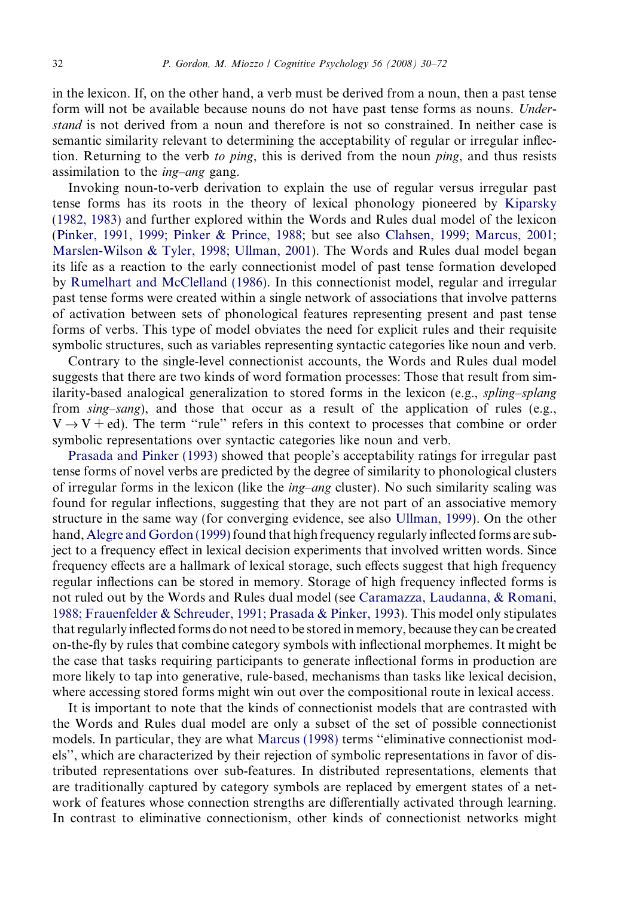in the lexicon. If, on the other hand, a verb must be derived from a noun, then a past tense form will not be available because nouns do not have past tense forms as nouns. Understand is not derived from a noun and therefore is not so constrained. In neither case is semantic similarity relevant to determining the acceptability of regular or irregular inflection. Returning to the verb to ping, this is derived from the noun ping, and thus resists assimilation to the ing–ang gang.

Invoking noun-to-verb derivation to explain the use of regular versus irregular past tense forms has its roots in the theory of lexical phonology pioneered by [Kiparsky](#page-41-0) [\(1982, 1983\)](#page-41-0) and further explored within the Words and Rules dual model of the lexicon [\(Pinker, 1991, 1999; Pinker & Prince, 1988](#page-42-0); but see also [Clahsen, 1999; Marcus, 2001;](#page-41-0) [Marslen-Wilson & Tyler, 1998; Ullman, 2001](#page-41-0)). The Words and Rules dual model began its life as a reaction to the early connectionist model of past tense formation developed by [Rumelhart and McClelland \(1986\).](#page-42-0) In this connectionist model, regular and irregular past tense forms were created within a single network of associations that involve patterns of activation between sets of phonological features representing present and past tense forms of verbs. This type of model obviates the need for explicit rules and their requisite symbolic structures, such as variables representing syntactic categories like noun and verb.

Contrary to the single-level connectionist accounts, the Words and Rules dual model suggests that there are two kinds of word formation processes: Those that result from similarity-based analogical generalization to stored forms in the lexicon (e.g., *spling–splang* from sing–sang), and those that occur as a result of the application of rules (e.g.,  $V \rightarrow V + ed$ ). The term "rule" refers in this context to processes that combine or order symbolic representations over syntactic categories like noun and verb.

[Prasada and Pinker \(1993\)](#page-42-0) showed that people's acceptability ratings for irregular past tense forms of novel verbs are predicted by the degree of similarity to phonological clusters of irregular forms in the lexicon (like the ing–ang cluster). No such similarity scaling was found for regular inflections, suggesting that they are not part of an associative memory structure in the same way (for converging evidence, see also [Ullman, 1999](#page-42-0)). On the other hand, [Alegre and Gordon \(1999\)](#page-41-0) found that high frequency regularly inflected forms are subject to a frequency effect in lexical decision experiments that involved written words. Since frequency effects are a hallmark of lexical storage, such effects suggest that high frequency regular inflections can be stored in memory. Storage of high frequency inflected forms is not ruled out by the Words and Rules dual model (see [Caramazza, Laudanna, & Romani,](#page-41-0) [1988; Frauenfelder & Schreuder, 1991; Prasada & Pinker, 1993\)](#page-41-0). This model only stipulates that regularly inflected forms do not need to be stored in memory, because they can be created on-the-fly by rules that combine category symbols with inflectional morphemes. It might be the case that tasks requiring participants to generate inflectional forms in production are more likely to tap into generative, rule-based, mechanisms than tasks like lexical decision, where accessing stored forms might win out over the compositional route in lexical access.

It is important to note that the kinds of connectionist models that are contrasted with the Words and Rules dual model are only a subset of the set of possible connectionist models. In particular, they are what [Marcus \(1998\)](#page-42-0) terms ''eliminative connectionist models'', which are characterized by their rejection of symbolic representations in favor of distributed representations over sub-features. In distributed representations, elements that are traditionally captured by category symbols are replaced by emergent states of a network of features whose connection strengths are differentially activated through learning. In contrast to eliminative connectionism, other kinds of connectionist networks might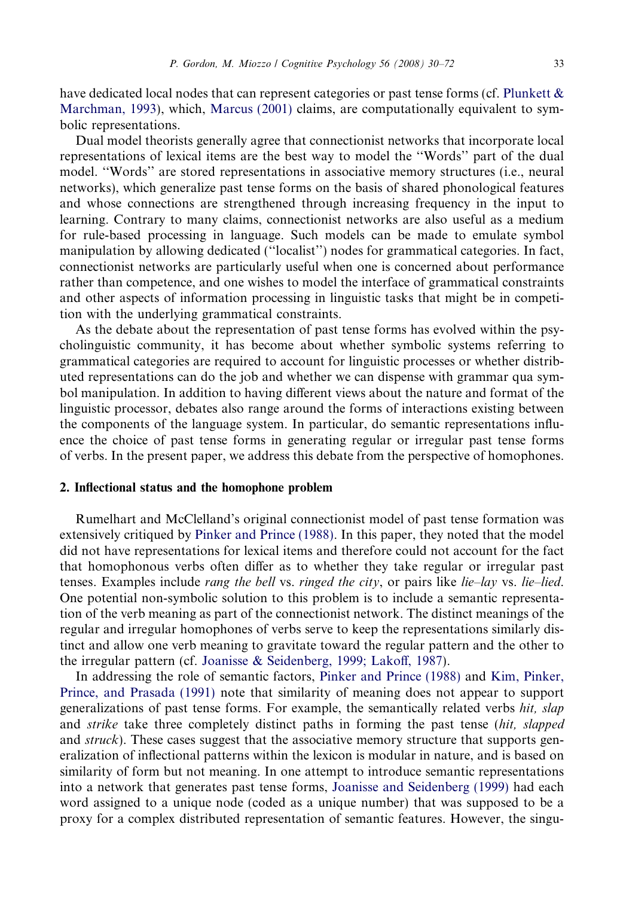have dedicated local nodes that can represent categories or past tense forms (cf. [Plunkett &](#page-42-0) [Marchman, 1993\)](#page-42-0), which, [Marcus \(2001\)](#page-42-0) claims, are computationally equivalent to symbolic representations.

Dual model theorists generally agree that connectionist networks that incorporate local representations of lexical items are the best way to model the ''Words'' part of the dual model. ''Words'' are stored representations in associative memory structures (i.e., neural networks), which generalize past tense forms on the basis of shared phonological features and whose connections are strengthened through increasing frequency in the input to learning. Contrary to many claims, connectionist networks are also useful as a medium for rule-based processing in language. Such models can be made to emulate symbol manipulation by allowing dedicated (''localist'') nodes for grammatical categories. In fact, connectionist networks are particularly useful when one is concerned about performance rather than competence, and one wishes to model the interface of grammatical constraints and other aspects of information processing in linguistic tasks that might be in competition with the underlying grammatical constraints.

As the debate about the representation of past tense forms has evolved within the psycholinguistic community, it has become about whether symbolic systems referring to grammatical categories are required to account for linguistic processes or whether distributed representations can do the job and whether we can dispense with grammar qua symbol manipulation. In addition to having different views about the nature and format of the linguistic processor, debates also range around the forms of interactions existing between the components of the language system. In particular, do semantic representations influence the choice of past tense forms in generating regular or irregular past tense forms of verbs. In the present paper, we address this debate from the perspective of homophones.

#### 2. Inflectional status and the homophone problem

Rumelhart and McClelland's original connectionist model of past tense formation was extensively critiqued by [Pinker and Prince \(1988\)](#page-42-0). In this paper, they noted that the model did not have representations for lexical items and therefore could not account for the fact that homophonous verbs often differ as to whether they take regular or irregular past tenses. Examples include rang the bell vs. ringed the city, or pairs like lie-lay vs. lie-lied. One potential non-symbolic solution to this problem is to include a semantic representation of the verb meaning as part of the connectionist network. The distinct meanings of the regular and irregular homophones of verbs serve to keep the representations similarly distinct and allow one verb meaning to gravitate toward the regular pattern and the other to the irregular pattern (cf. [Joanisse & Seidenberg, 1999; Lakoff, 1987\)](#page-41-0).

In addressing the role of semantic factors, [Pinker and Prince \(1988\)](#page-42-0) and [Kim, Pinker,](#page-42-0) [Prince, and Prasada \(1991\)](#page-42-0) note that similarity of meaning does not appear to support generalizations of past tense forms. For example, the semantically related verbs hit, slap and strike take three completely distinct paths in forming the past tense (hit, slapped and *struck*). These cases suggest that the associative memory structure that supports generalization of inflectional patterns within the lexicon is modular in nature, and is based on similarity of form but not meaning. In one attempt to introduce semantic representations into a network that generates past tense forms, [Joanisse and Seidenberg \(1999\)](#page-41-0) had each word assigned to a unique node (coded as a unique number) that was supposed to be a proxy for a complex distributed representation of semantic features. However, the singu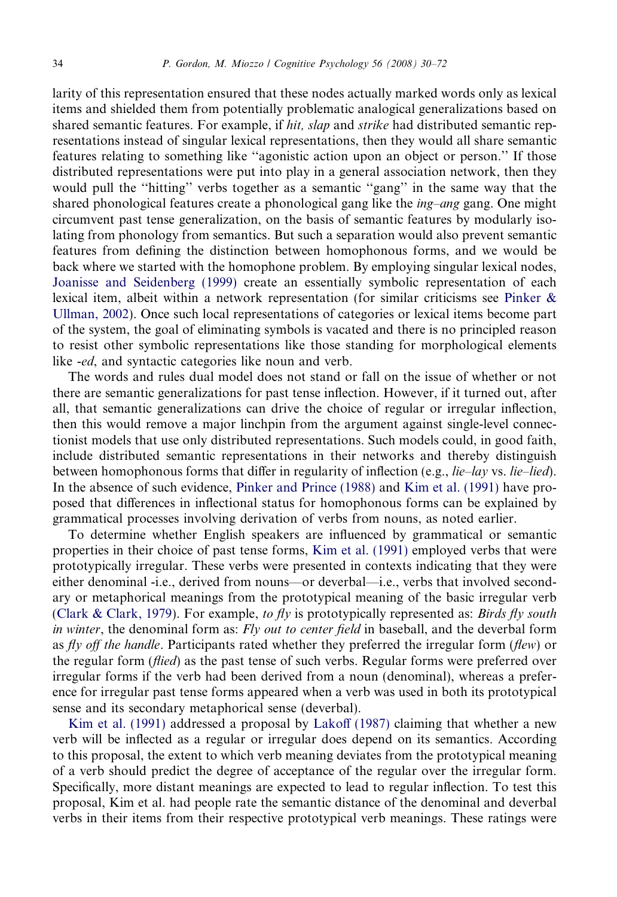larity of this representation ensured that these nodes actually marked words only as lexical items and shielded them from potentially problematic analogical generalizations based on shared semantic features. For example, if hit, slap and strike had distributed semantic representations instead of singular lexical representations, then they would all share semantic features relating to something like ''agonistic action upon an object or person.'' If those distributed representations were put into play in a general association network, then they would pull the ''hitting'' verbs together as a semantic ''gang'' in the same way that the shared phonological features create a phonological gang like the *ing–ang* gang. One might circumvent past tense generalization, on the basis of semantic features by modularly isolating from phonology from semantics. But such a separation would also prevent semantic features from defining the distinction between homophonous forms, and we would be back where we started with the homophone problem. By employing singular lexical nodes, [Joanisse and Seidenberg \(1999\)](#page-41-0) create an essentially symbolic representation of each lexical item, albeit within a network representation (for similar criticisms see [Pinker &](#page-42-0) [Ullman, 2002\)](#page-42-0). Once such local representations of categories or lexical items become part of the system, the goal of eliminating symbols is vacated and there is no principled reason to resist other symbolic representations like those standing for morphological elements like *-ed*, and syntactic categories like noun and verb.

The words and rules dual model does not stand or fall on the issue of whether or not there are semantic generalizations for past tense inflection. However, if it turned out, after all, that semantic generalizations can drive the choice of regular or irregular inflection, then this would remove a major linchpin from the argument against single-level connectionist models that use only distributed representations. Such models could, in good faith, include distributed semantic representations in their networks and thereby distinguish between homophonous forms that differ in regularity of inflection (e.g.,  $lie$ — $lay$  vs.  $lie$ — $li$ ed). In the absence of such evidence, [Pinker and Prince \(1988\)](#page-42-0) and [Kim et al. \(1991\)](#page-41-0) have proposed that differences in inflectional status for homophonous forms can be explained by grammatical processes involving derivation of verbs from nouns, as noted earlier.

To determine whether English speakers are influenced by grammatical or semantic properties in their choice of past tense forms, [Kim et al. \(1991\)](#page-41-0) employed verbs that were prototypically irregular. These verbs were presented in contexts indicating that they were either denominal -i.e., derived from nouns—or deverbal—i.e., verbs that involved secondary or metaphorical meanings from the prototypical meaning of the basic irregular verb [\(Clark & Clark, 1979\)](#page-41-0). For example, to fly is prototypically represented as: Birds fly south in winter, the denominal form as:  $Fly$  *out to center field* in baseball, and the deverbal form as fly off the handle. Participants rated whether they preferred the irregular form (flew) or the regular form (*flied*) as the past tense of such verbs. Regular forms were preferred over irregular forms if the verb had been derived from a noun (denominal), whereas a preference for irregular past tense forms appeared when a verb was used in both its prototypical sense and its secondary metaphorical sense (deverbal).

[Kim et al. \(1991\)](#page-41-0) addressed a proposal by [Lakoff \(1987\)](#page-41-0) claiming that whether a new verb will be inflected as a regular or irregular does depend on its semantics. According to this proposal, the extent to which verb meaning deviates from the prototypical meaning of a verb should predict the degree of acceptance of the regular over the irregular form. Specifically, more distant meanings are expected to lead to regular inflection. To test this proposal, Kim et al. had people rate the semantic distance of the denominal and deverbal verbs in their items from their respective prototypical verb meanings. These ratings were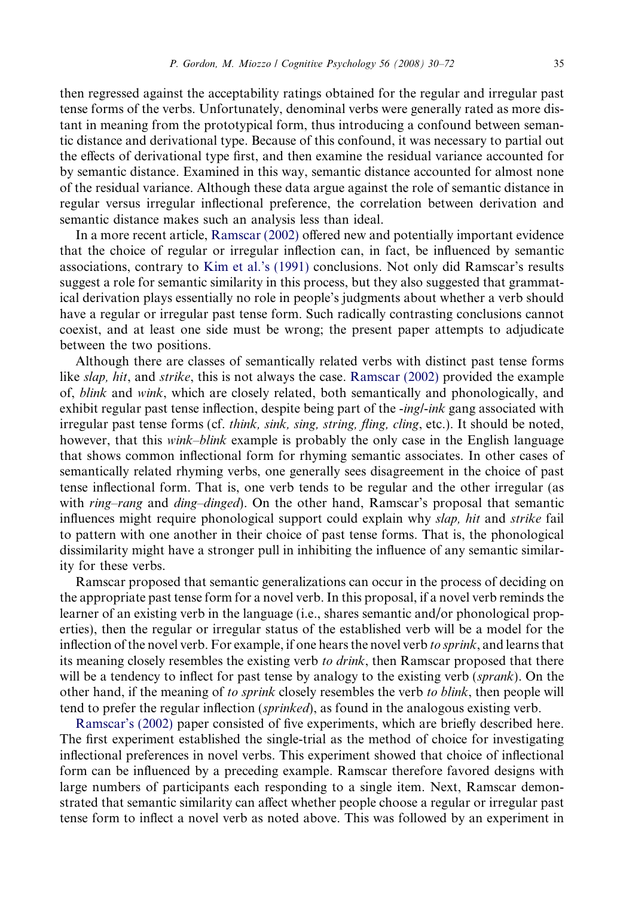then regressed against the acceptability ratings obtained for the regular and irregular past tense forms of the verbs. Unfortunately, denominal verbs were generally rated as more distant in meaning from the prototypical form, thus introducing a confound between semantic distance and derivational type. Because of this confound, it was necessary to partial out the effects of derivational type first, and then examine the residual variance accounted for by semantic distance. Examined in this way, semantic distance accounted for almost none of the residual variance. Although these data argue against the role of semantic distance in regular versus irregular inflectional preference, the correlation between derivation and semantic distance makes such an analysis less than ideal.

In a more recent article, [Ramscar \(2002\)](#page-42-0) offered new and potentially important evidence that the choice of regular or irregular inflection can, in fact, be influenced by semantic associations, contrary to [Kim et al.'s \(1991\)](#page-41-0) conclusions. Not only did Ramscar's results suggest a role for semantic similarity in this process, but they also suggested that grammatical derivation plays essentially no role in people's judgments about whether a verb should have a regular or irregular past tense form. Such radically contrasting conclusions cannot coexist, and at least one side must be wrong; the present paper attempts to adjudicate between the two positions.

Although there are classes of semantically related verbs with distinct past tense forms like *slap, hit*, and *strike*, this is not always the case. [Ramscar \(2002\)](#page-42-0) provided the example of, blink and wink, which are closely related, both semantically and phonologically, and exhibit regular past tense inflection, despite being part of the -ing/-ink gang associated with irregular past tense forms (cf. think, sink, sing, string, fling, cling, etc.). It should be noted, however, that this *wink–blink* example is probably the only case in the English language that shows common inflectional form for rhyming semantic associates. In other cases of semantically related rhyming verbs, one generally sees disagreement in the choice of past tense inflectional form. That is, one verb tends to be regular and the other irregular (as with ring–rang and ding–dinged). On the other hand, Ramscar's proposal that semantic influences might require phonological support could explain why slap, hit and strike fail to pattern with one another in their choice of past tense forms. That is, the phonological dissimilarity might have a stronger pull in inhibiting the influence of any semantic similarity for these verbs.

Ramscar proposed that semantic generalizations can occur in the process of deciding on the appropriate past tense form for a novel verb. In this proposal, if a novel verb reminds the learner of an existing verb in the language (i.e., shares semantic and/or phonological properties), then the regular or irregular status of the established verb will be a model for the inflection of the novel verb. For example, if one hears the novel verb to sprink, and learns that its meaning closely resembles the existing verb to drink, then Ramscar proposed that there will be a tendency to inflect for past tense by analogy to the existing verb ( $sprank$ ). On the other hand, if the meaning of to sprink closely resembles the verb to blink, then people will tend to prefer the regular inflection (sprinked), as found in the analogous existing verb.

[Ramscar's \(2002\)](#page-42-0) paper consisted of five experiments, which are briefly described here. The first experiment established the single-trial as the method of choice for investigating inflectional preferences in novel verbs. This experiment showed that choice of inflectional form can be influenced by a preceding example. Ramscar therefore favored designs with large numbers of participants each responding to a single item. Next, Ramscar demonstrated that semantic similarity can affect whether people choose a regular or irregular past tense form to inflect a novel verb as noted above. This was followed by an experiment in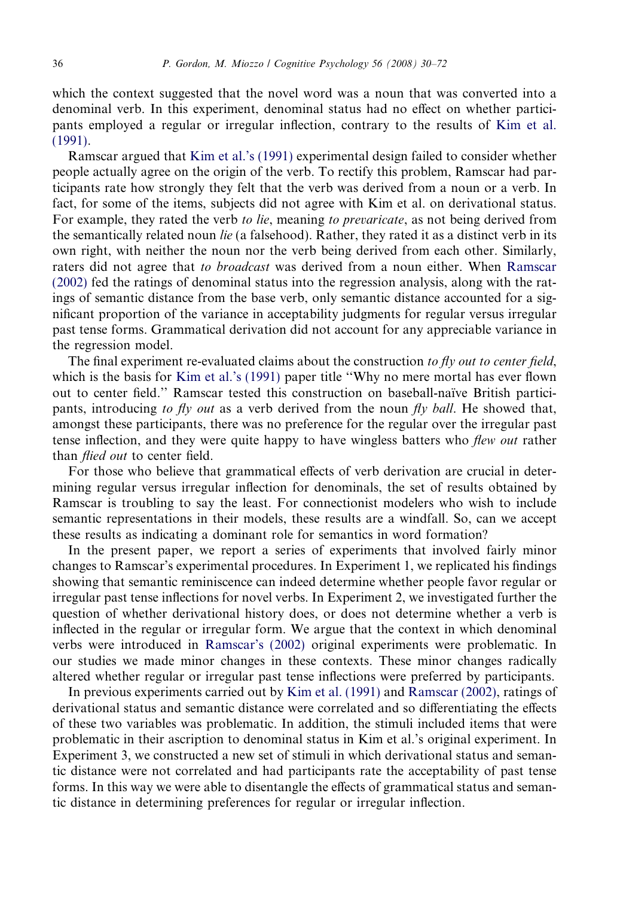which the context suggested that the novel word was a noun that was converted into a denominal verb. In this experiment, denominal status had no effect on whether participants employed a regular or irregular inflection, contrary to the results of [Kim et al.](#page-41-0) [\(1991\)](#page-41-0).

Ramscar argued that [Kim et al.'s \(1991\)](#page-41-0) experimental design failed to consider whether people actually agree on the origin of the verb. To rectify this problem, Ramscar had participants rate how strongly they felt that the verb was derived from a noun or a verb. In fact, for some of the items, subjects did not agree with Kim et al. on derivational status. For example, they rated the verb to lie, meaning to prevaricate, as not being derived from the semantically related noun *lie* (a falsehood). Rather, they rated it as a distinct verb in its own right, with neither the noun nor the verb being derived from each other. Similarly, raters did not agree that to broadcast was derived from a noun either. When [Ramscar](#page-42-0) [\(2002\)](#page-42-0) fed the ratings of denominal status into the regression analysis, along with the ratings of semantic distance from the base verb, only semantic distance accounted for a significant proportion of the variance in acceptability judgments for regular versus irregular past tense forms. Grammatical derivation did not account for any appreciable variance in the regression model.

The final experiment re-evaluated claims about the construction to fly out to center field, which is the basis for [Kim et al.'s \(1991\)](#page-41-0) paper title "Why no mere mortal has ever flown out to center field." Ramscar tested this construction on baseball-naïve British participants, introducing to fly out as a verb derived from the noun fly ball. He showed that, amongst these participants, there was no preference for the regular over the irregular past tense inflection, and they were quite happy to have wingless batters who *flew out* rather than *flied out* to center field.

For those who believe that grammatical effects of verb derivation are crucial in determining regular versus irregular inflection for denominals, the set of results obtained by Ramscar is troubling to say the least. For connectionist modelers who wish to include semantic representations in their models, these results are a windfall. So, can we accept these results as indicating a dominant role for semantics in word formation?

In the present paper, we report a series of experiments that involved fairly minor changes to Ramscar's experimental procedures. In Experiment 1, we replicated his findings showing that semantic reminiscence can indeed determine whether people favor regular or irregular past tense inflections for novel verbs. In Experiment 2, we investigated further the question of whether derivational history does, or does not determine whether a verb is inflected in the regular or irregular form. We argue that the context in which denominal verbs were introduced in [Ramscar's \(2002\)](#page-42-0) original experiments were problematic. In our studies we made minor changes in these contexts. These minor changes radically altered whether regular or irregular past tense inflections were preferred by participants.

In previous experiments carried out by [Kim et al. \(1991\)](#page-41-0) and [Ramscar \(2002\),](#page-42-0) ratings of derivational status and semantic distance were correlated and so differentiating the effects of these two variables was problematic. In addition, the stimuli included items that were problematic in their ascription to denominal status in Kim et al.'s original experiment. In Experiment 3, we constructed a new set of stimuli in which derivational status and semantic distance were not correlated and had participants rate the acceptability of past tense forms. In this way we were able to disentangle the effects of grammatical status and semantic distance in determining preferences for regular or irregular inflection.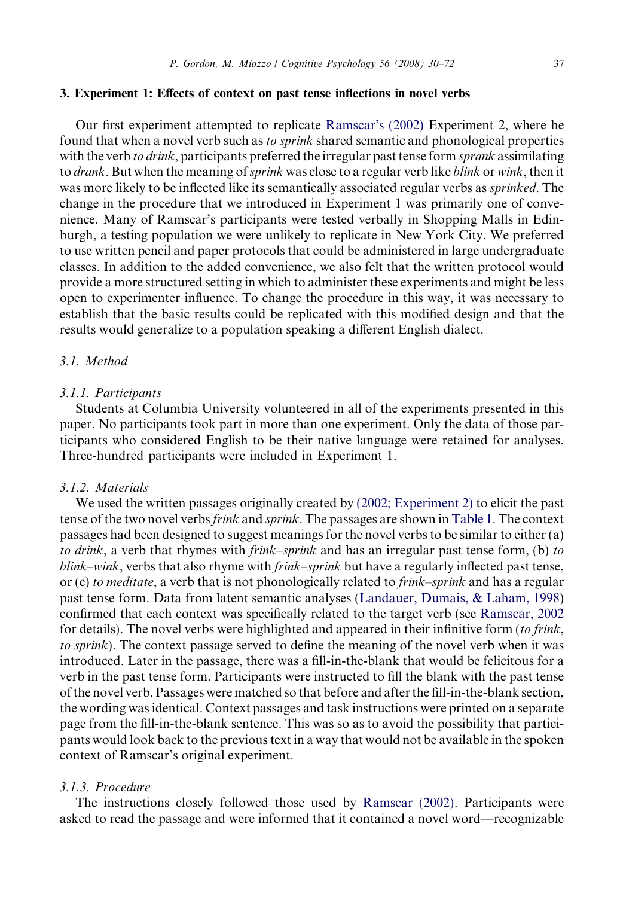#### 3. Experiment 1: Effects of context on past tense inflections in novel verbs

Our first experiment attempted to replicate [Ramscar's \(2002\)](#page-42-0) Experiment 2, where he found that when a novel verb such as to sprink shared semantic and phonological properties with the verb to drink, participants preferred the irregular past tense form *sprank* assimilating to drank. But when the meaning of *sprink* was close to a regular verb like blink or wink, then it was more likely to be inflected like its semantically associated regular verbs as sprinked. The change in the procedure that we introduced in Experiment 1 was primarily one of convenience. Many of Ramscar's participants were tested verbally in Shopping Malls in Edinburgh, a testing population we were unlikely to replicate in New York City. We preferred to use written pencil and paper protocols that could be administered in large undergraduate classes. In addition to the added convenience, we also felt that the written protocol would provide a more structured setting in which to administer these experiments and might be less open to experimenter influence. To change the procedure in this way, it was necessary to establish that the basic results could be replicated with this modified design and that the results would generalize to a population speaking a different English dialect.

#### 3.1. Method

### 3.1.1. Participants

Students at Columbia University volunteered in all of the experiments presented in this paper. No participants took part in more than one experiment. Only the data of those participants who considered English to be their native language were retained for analyses. Three-hundred participants were included in Experiment 1.

#### 3.1.2. Materials

We used the written passages originally created by [\(2002; Experiment 2\)](#page-42-0) to elicit the past tense of the two novel verbs *frink* and *sprink*. The passages are shown in [Table 1.](#page-8-0) The context passages had been designed to suggest meanings for the novel verbs to be similar to either (a) to drink, a verb that rhymes with frink–sprink and has an irregular past tense form, (b) to blink–wink, verbs that also rhyme with *frink–sprink* but have a regularly inflected past tense, or (c) to meditate, a verb that is not phonologically related to frink–sprink and has a regular past tense form. Data from latent semantic analyses ([Landauer, Dumais, & Laham, 1998\)](#page-42-0) confirmed that each context was specifically related to the target verb (see [Ramscar, 2002](#page-42-0) for details). The novel verbs were highlighted and appeared in their infinitive form (to frink, to sprink). The context passage served to define the meaning of the novel verb when it was introduced. Later in the passage, there was a fill-in-the-blank that would be felicitous for a verb in the past tense form. Participants were instructed to fill the blank with the past tense of the novel verb. Passages were matched so that before and after the fill-in-the-blank section, the wording was identical. Context passages and task instructions were printed on a separate page from the fill-in-the-blank sentence. This was so as to avoid the possibility that participants would look back to the previous text in a way that would not be available in the spoken context of Ramscar's original experiment.

#### 3.1.3. Procedure

The instructions closely followed those used by [Ramscar \(2002\).](#page-42-0) Participants were asked to read the passage and were informed that it contained a novel word—recognizable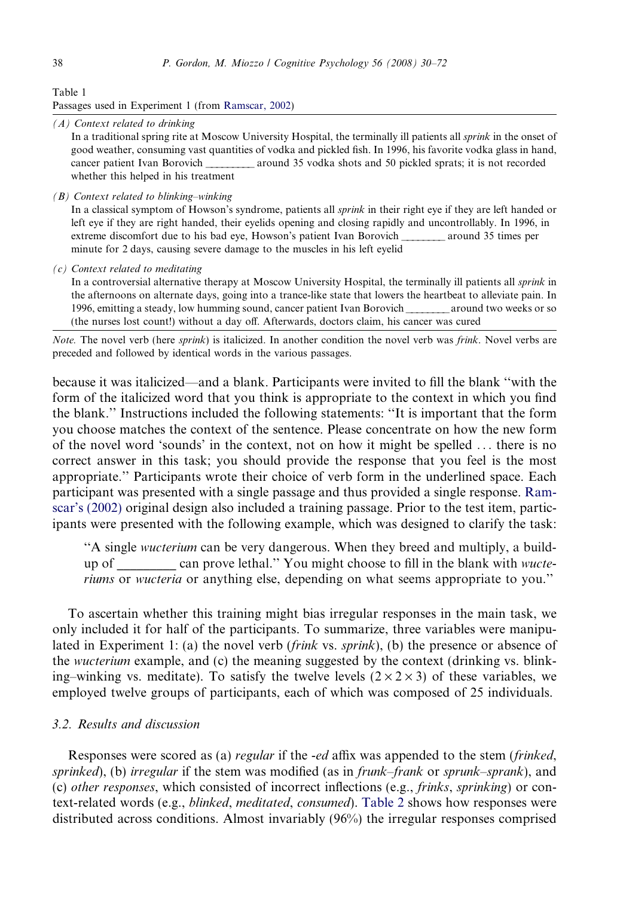#### Table 1

Passages used in Experiment 1 (from [Ramscar, 2002\)](#page-42-0)

(A) Context related to drinking

In a traditional spring rite at Moscow University Hospital, the terminally ill patients all *sprink* in the onset of good weather, consuming vast quantities of vodka and pickled fish. In 1996, his favorite vodka glass in hand, cancer patient Ivan Borovich \_\_\_\_\_\_\_\_\_ around 35 vodka shots and 50 pickled sprats; it is not recorded whether this helped in his treatment

(B) Context related to blinking–winking

In a classical symptom of Howson's syndrome, patients all *sprink* in their right eye if they are left handed or left eye if they are right handed, their eyelids opening and closing rapidly and uncontrollably. In 1996, in extreme discomfort due to his bad eye, Howson's patient Ivan Borovich around 35 times per minute for 2 days, causing severe damage to the muscles in his left eyelid

(c) Context related to meditating

In a controversial alternative therapy at Moscow University Hospital, the terminally ill patients all *sprink* in the afternoons on alternate days, going into a trance-like state that lowers the heartbeat to alleviate pain. In 1996, emitting a steady, low humming sound, cancer patient Ivan Borovich \_\_\_\_\_\_\_\_ around two weeks or so (the nurses lost count!) without a day off. Afterwards, doctors claim, his cancer was cured

Note. The novel verb (here *sprink*) is italicized. In another condition the novel verb was *frink*. Novel verbs are preceded and followed by identical words in the various passages.

because it was italicized—and a blank. Participants were invited to fill the blank ''with the form of the italicized word that you think is appropriate to the context in which you find the blank.'' Instructions included the following statements: ''It is important that the form you choose matches the context of the sentence. Please concentrate on how the new form of the novel word 'sounds' in the context, not on how it might be spelled ... there is no correct answer in this task; you should provide the response that you feel is the most appropriate.'' Participants wrote their choice of verb form in the underlined space. Each participant was presented with a single passage and thus provided a single response. [Ram](#page-42-0)[scar's \(2002\)](#page-42-0) original design also included a training passage. Prior to the test item, participants were presented with the following example, which was designed to clarify the task:

''A single wucterium can be very dangerous. When they breed and multiply, a buildup of \_\_\_\_\_\_\_ can prove lethal." You might choose to fill in the blank with *wucte*riums or wucteria or anything else, depending on what seems appropriate to you.''

To ascertain whether this training might bias irregular responses in the main task, we only included it for half of the participants. To summarize, three variables were manipulated in Experiment 1: (a) the novel verb (frink vs. sprink), (b) the presence or absence of the *wucterium* example, and (c) the meaning suggested by the context (drinking vs. blinking–winking vs. meditate). To satisfy the twelve levels  $(2 \times 2 \times 3)$  of these variables, we employed twelve groups of participants, each of which was composed of 25 individuals.

#### 3.2. Results and discussion

Responses were scored as (a) *regular* if the *-ed* affix was appended to the stem (*frinked*, sprinked), (b) irregular if the stem was modified (as in frunk–frank or sprunk–sprank), and (c) other responses, which consisted of incorrect inflections (e.g., frinks, sprinking) or context-related words (e.g., *blinked, meditated, consumed*). [Table 2](#page-9-0) shows how responses were distributed across conditions. Almost invariably (96%) the irregular responses comprised

<span id="page-8-0"></span>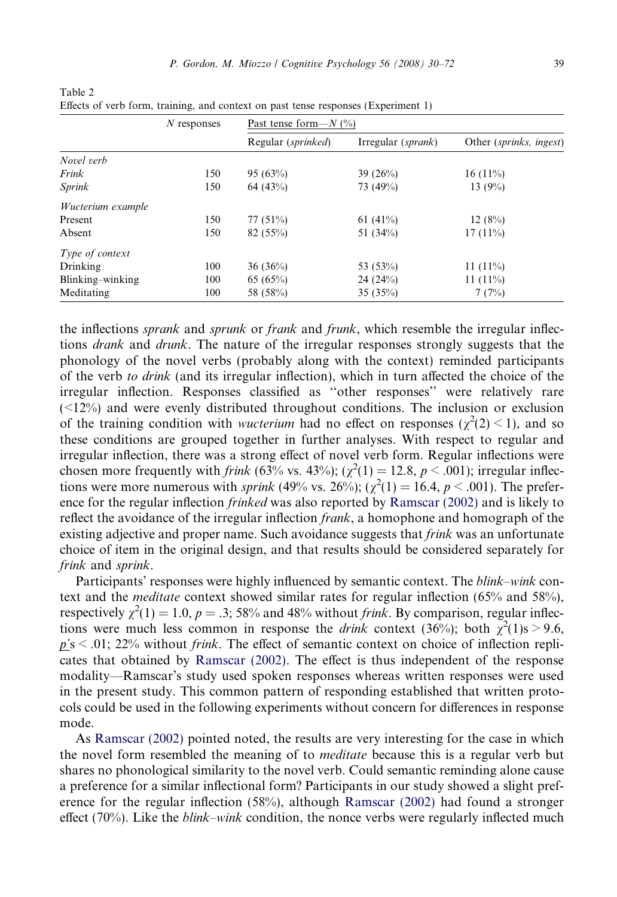|                   | $N$ responses | Past tense form— $N$ (%) |                    |                         |  |
|-------------------|---------------|--------------------------|--------------------|-------------------------|--|
|                   |               | Regular (sprinked)       | Irregular (sprank) | Other (sprinks, ingest) |  |
| Novel verb        |               |                          |                    |                         |  |
| Frink             | 150           | 95(63%)                  | 39 $(26\%)$        | $16(11\%)$              |  |
| Sprink            | 150           | 64 $(43%)$               | 73 (49%)           | 13 $(9%)$               |  |
| Wucterium example |               |                          |                    |                         |  |
| Present           | 150           | 77 (51%)                 | 61 $(41\%)$        | 12(8%)                  |  |
| Absent            | 150           | $82(55\%)$               | 51 $(34%)$         | $17(11\%)$              |  |
| Type of context   |               |                          |                    |                         |  |
| Drinking          | 100           | $36(36\%)$               | 53 (53%)           | 11 $(11\%)$             |  |
| Blinking-winking  | 100           | 65 $(65\%)$              | 24(24%)            | 11 $(11\%)$             |  |
| Meditating        | 100           | 58 (58%)                 | 35(35%)            | 7(7%)                   |  |

<span id="page-9-0"></span>Table 2 Effects of verb form, training, and context on past tense responses (Experiment 1)

the inflections *sprank* and *sprunk* or *frank* and *frunk*, which resemble the irregular inflections *drank* and *drunk*. The nature of the irregular responses strongly suggests that the phonology of the novel verbs (probably along with the context) reminded participants of the verb to drink (and its irregular inflection), which in turn affected the choice of the irregular inflection. Responses classified as ''other responses'' were relatively rare  $(12\%)$  and were evenly distributed throughout conditions. The inclusion or exclusion of the training condition with *wucterium* had no effect on responses ( $\chi^2(2) \le 1$ ), and so these conditions are grouped together in further analyses. With respect to regular and irregular inflection, there was a strong effect of novel verb form. Regular inflections were chosen more frequently with *frink* (63% vs. 43%); ( $\chi^2(1) = 12.8$ ,  $p < .001$ ); irregular inflections were more numerous with *sprink* (49% vs. 26%);  $(\chi^2(1) = 16.4, p < .001)$ . The preference for the regular inflection *frinked* was also reported by [Ramscar \(2002\)](#page-42-0) and is likely to reflect the avoidance of the irregular inflection *frank*, a homophone and homograph of the existing adjective and proper name. Such avoidance suggests that *frink* was an unfortunate choice of item in the original design, and that results should be considered separately for frink and sprink.

Participants' responses were highly influenced by semantic context. The *blink–wink* context and the *meditate* context showed similar rates for regular inflection (65% and 58%), respectively  $\chi^2(1) = 1.0$ ,  $p = .3$ ; 58% and 48% without frink. By comparison, regular inflections were much less common in response the *drink* context (36%); both  $\chi^2(1)$ s > 9.6,  $p's \le 0.01$ ; 22% without *frink*. The effect of semantic context on choice of inflection replicates that obtained by [Ramscar \(2002\)](#page-42-0). The effect is thus independent of the response modality—Ramscar's study used spoken responses whereas written responses were used in the present study. This common pattern of responding established that written protocols could be used in the following experiments without concern for differences in response mode.

As [Ramscar \(2002\)](#page-42-0) pointed noted, the results are very interesting for the case in which the novel form resembled the meaning of to *meditate* because this is a regular verb but shares no phonological similarity to the novel verb. Could semantic reminding alone cause a preference for a similar inflectional form? Participants in our study showed a slight preference for the regular inflection (58%), although [Ramscar \(2002\)](#page-42-0) had found a stronger effect  $(70%)$ . Like the *blink–wink* condition, the nonce verbs were regularly inflected much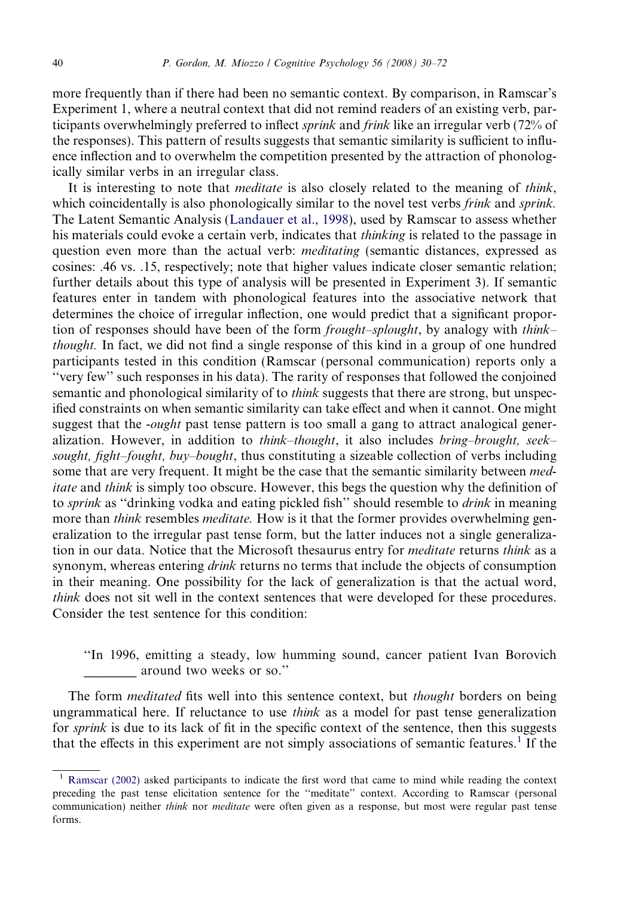more frequently than if there had been no semantic context. By comparison, in Ramscar's Experiment 1, where a neutral context that did not remind readers of an existing verb, participants overwhelmingly preferred to inflect sprink and frink like an irregular verb (72% of the responses). This pattern of results suggests that semantic similarity is sufficient to influence inflection and to overwhelm the competition presented by the attraction of phonologically similar verbs in an irregular class.

It is interesting to note that *meditate* is also closely related to the meaning of *think*, which coincidentally is also phonologically similar to the novel test verbs *frink* and *sprink*. The Latent Semantic Analysis [\(Landauer et al., 1998](#page-42-0)), used by Ramscar to assess whether his materials could evoke a certain verb, indicates that *thinking* is related to the passage in question even more than the actual verb: *meditating* (semantic distances, expressed as cosines: .46 vs. .15, respectively; note that higher values indicate closer semantic relation; further details about this type of analysis will be presented in Experiment 3). If semantic features enter in tandem with phonological features into the associative network that determines the choice of irregular inflection, one would predict that a significant proportion of responses should have been of the form *frought–splought*, by analogy with *think–* thought. In fact, we did not find a single response of this kind in a group of one hundred participants tested in this condition (Ramscar (personal communication) reports only a ''very few'' such responses in his data). The rarity of responses that followed the conjoined semantic and phonological similarity of to *think* suggests that there are strong, but unspecified constraints on when semantic similarity can take effect and when it cannot. One might suggest that the *-ought* past tense pattern is too small a gang to attract analogical generalization. However, in addition to *think–thought*, it also includes *bring–brought*, seek– sought, fight–fought, buy–bought, thus constituting a sizeable collection of verbs including some that are very frequent. It might be the case that the semantic similarity between med*itate* and *think* is simply too obscure. However, this begs the question why the definition of to *sprink* as "drinking vodka and eating pickled fish" should resemble to *drink* in meaning more than *think* resembles *meditate*. How is it that the former provides overwhelming generalization to the irregular past tense form, but the latter induces not a single generalization in our data. Notice that the Microsoft thesaurus entry for *meditate* returns think as a synonym, whereas entering *drink* returns no terms that include the objects of consumption in their meaning. One possibility for the lack of generalization is that the actual word, think does not sit well in the context sentences that were developed for these procedures. Consider the test sentence for this condition:

''In 1996, emitting a steady, low humming sound, cancer patient Ivan Borovich \_\_\_\_\_\_\_\_ around two weeks or so.''

The form *meditated* fits well into this sentence context, but *thought* borders on being ungrammatical here. If reluctance to use *think* as a model for past tense generalization for *sprink* is due to its lack of fit in the specific context of the sentence, then this suggests that the effects in this experiment are not simply associations of semantic features.<sup>1</sup> If the

<sup>1</sup> [Ramscar \(2002\)](#page-42-0) asked participants to indicate the first word that came to mind while reading the context preceding the past tense elicitation sentence for the ''meditate'' context. According to Ramscar (personal communication) neither *think* nor *meditate* were often given as a response, but most were regular past tense forms.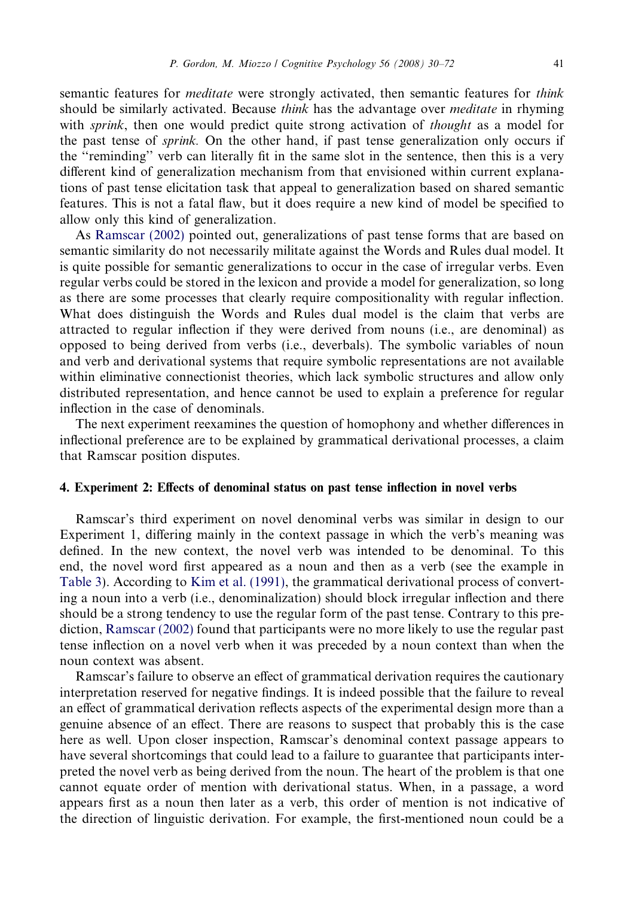semantic features for *meditate* were strongly activated, then semantic features for *think* should be similarly activated. Because *think* has the advantage over *meditate* in rhyming with *sprink*, then one would predict quite strong activation of *thought* as a model for the past tense of sprink. On the other hand, if past tense generalization only occurs if the ''reminding'' verb can literally fit in the same slot in the sentence, then this is a very different kind of generalization mechanism from that envisioned within current explanations of past tense elicitation task that appeal to generalization based on shared semantic features. This is not a fatal flaw, but it does require a new kind of model be specified to allow only this kind of generalization.

As [Ramscar \(2002\)](#page-42-0) pointed out, generalizations of past tense forms that are based on semantic similarity do not necessarily militate against the Words and Rules dual model. It is quite possible for semantic generalizations to occur in the case of irregular verbs. Even regular verbs could be stored in the lexicon and provide a model for generalization, so long as there are some processes that clearly require compositionality with regular inflection. What does distinguish the Words and Rules dual model is the claim that verbs are attracted to regular inflection if they were derived from nouns (i.e., are denominal) as opposed to being derived from verbs (i.e., deverbals). The symbolic variables of noun and verb and derivational systems that require symbolic representations are not available within eliminative connectionist theories, which lack symbolic structures and allow only distributed representation, and hence cannot be used to explain a preference for regular inflection in the case of denominals.

The next experiment reexamines the question of homophony and whether differences in inflectional preference are to be explained by grammatical derivational processes, a claim that Ramscar position disputes.

#### 4. Experiment 2: Effects of denominal status on past tense inflection in novel verbs

Ramscar's third experiment on novel denominal verbs was similar in design to our Experiment 1, differing mainly in the context passage in which the verb's meaning was defined. In the new context, the novel verb was intended to be denominal. To this end, the novel word first appeared as a noun and then as a verb (see the example in [Table 3](#page-12-0)). According to [Kim et al. \(1991\)](#page-41-0), the grammatical derivational process of converting a noun into a verb (i.e., denominalization) should block irregular inflection and there should be a strong tendency to use the regular form of the past tense. Contrary to this prediction, [Ramscar \(2002\)](#page-42-0) found that participants were no more likely to use the regular past tense inflection on a novel verb when it was preceded by a noun context than when the noun context was absent.

Ramscar's failure to observe an effect of grammatical derivation requires the cautionary interpretation reserved for negative findings. It is indeed possible that the failure to reveal an effect of grammatical derivation reflects aspects of the experimental design more than a genuine absence of an effect. There are reasons to suspect that probably this is the case here as well. Upon closer inspection, Ramscar's denominal context passage appears to have several shortcomings that could lead to a failure to guarantee that participants interpreted the novel verb as being derived from the noun. The heart of the problem is that one cannot equate order of mention with derivational status. When, in a passage, a word appears first as a noun then later as a verb, this order of mention is not indicative of the direction of linguistic derivation. For example, the first-mentioned noun could be a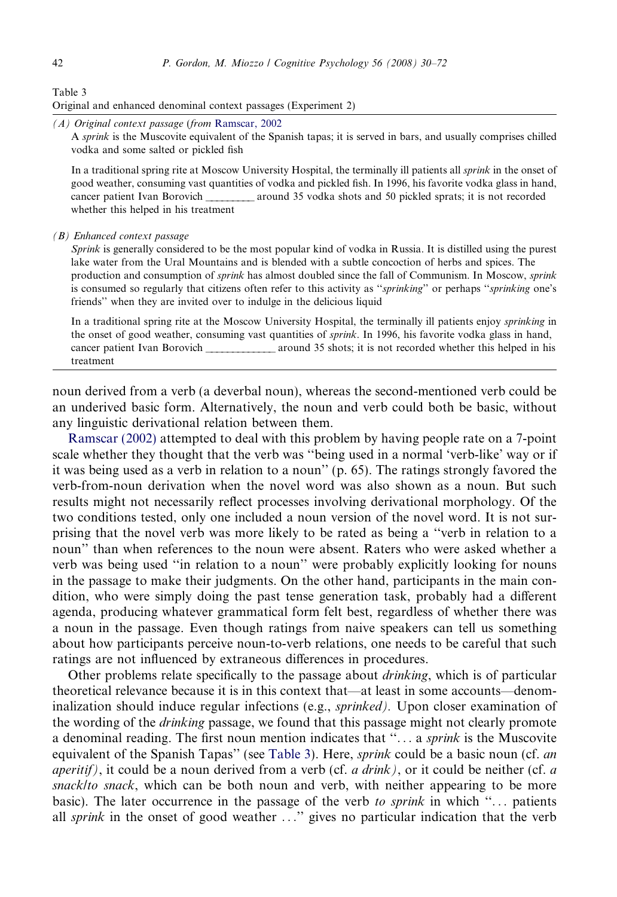#### <span id="page-12-0"></span>Table 3

Original and enhanced denominal context passages (Experiment 2)

#### (A) Original context passage (from [Ramscar, 2002](#page-42-0)

A *sprink* is the Muscovite equivalent of the Spanish tapas; it is served in bars, and usually comprises chilled vodka and some salted or pickled fish

In a traditional spring rite at Moscow University Hospital, the terminally ill patients all *sprink* in the onset of good weather, consuming vast quantities of vodka and pickled fish. In 1996, his favorite vodka glass in hand, cancer patient Ivan Borovich \_\_\_\_\_\_\_\_\_ around 35 vodka shots and 50 pickled sprats; it is not recorded whether this helped in his treatment

#### (B) Enhanced context passage

Sprink is generally considered to be the most popular kind of vodka in Russia. It is distilled using the purest lake water from the Ural Mountains and is blended with a subtle concoction of herbs and spices. The production and consumption of *sprink* has almost doubled since the fall of Communism. In Moscow, *sprink* is consumed so regularly that citizens often refer to this activity as "sprinking" or perhaps "sprinking one's friends'' when they are invited over to indulge in the delicious liquid

In a traditional spring rite at the Moscow University Hospital, the terminally ill patients enjoy sprinking in the onset of good weather, consuming vast quantities of *sprink*. In 1996, his favorite vodka glass in hand, cancer patient Ivan Borovich around 35 shots; it is not recorded whether this helped in his treatment

noun derived from a verb (a deverbal noun), whereas the second-mentioned verb could be an underived basic form. Alternatively, the noun and verb could both be basic, without any linguistic derivational relation between them.

[Ramscar \(2002\)](#page-42-0) attempted to deal with this problem by having people rate on a 7-point scale whether they thought that the verb was ''being used in a normal 'verb-like' way or if it was being used as a verb in relation to a noun'' (p. 65). The ratings strongly favored the verb-from-noun derivation when the novel word was also shown as a noun. But such results might not necessarily reflect processes involving derivational morphology. Of the two conditions tested, only one included a noun version of the novel word. It is not surprising that the novel verb was more likely to be rated as being a ''verb in relation to a noun'' than when references to the noun were absent. Raters who were asked whether a verb was being used ''in relation to a noun'' were probably explicitly looking for nouns in the passage to make their judgments. On the other hand, participants in the main condition, who were simply doing the past tense generation task, probably had a different agenda, producing whatever grammatical form felt best, regardless of whether there was a noun in the passage. Even though ratings from naive speakers can tell us something about how participants perceive noun-to-verb relations, one needs to be careful that such ratings are not influenced by extraneous differences in procedures.

Other problems relate specifically to the passage about *drinking*, which is of particular theoretical relevance because it is in this context that—at least in some accounts—denominalization should induce regular infections (e.g., *sprinked*). Upon closer examination of the wording of the *drinking* passage, we found that this passage might not clearly promote a denominal reading. The first noun mention indicates that "... a *sprink* is the Muscovite equivalent of the Spanish Tapas" (see Table 3). Here, *sprink* could be a basic noun (cf. an *aperitif)*, it could be a noun derived from a verb (cf. *a drink*), or it could be neither (cf. *a* snack/to snack, which can be both noun and verb, with neither appearing to be more basic). The later occurrence in the passage of the verb to sprink in which "... patients all sprink in the onset of good weather ...'' gives no particular indication that the verb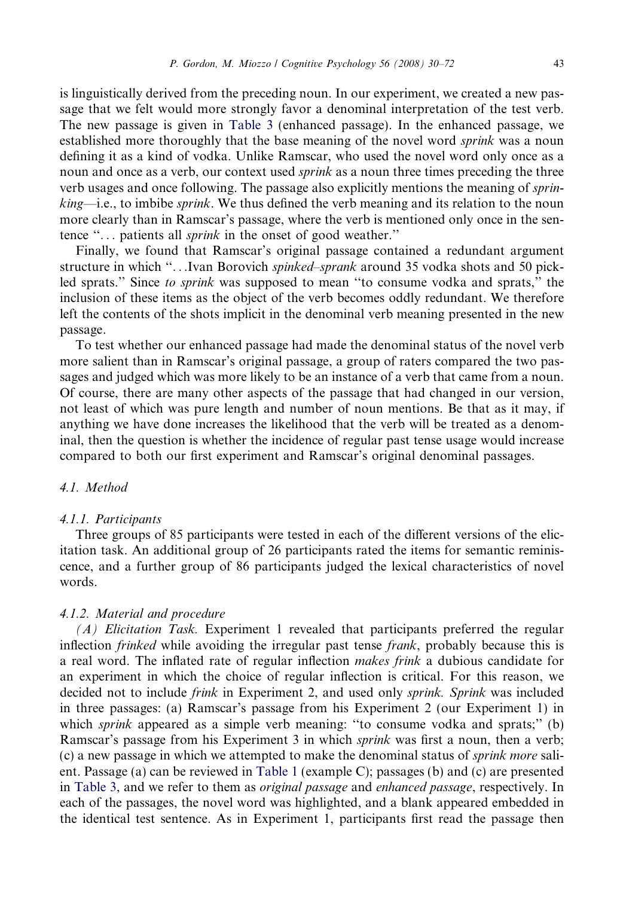is linguistically derived from the preceding noun. In our experiment, we created a new passage that we felt would more strongly favor a denominal interpretation of the test verb. The new passage is given in [Table 3](#page-12-0) (enhanced passage). In the enhanced passage, we established more thoroughly that the base meaning of the novel word sprink was a noun defining it as a kind of vodka. Unlike Ramscar, who used the novel word only once as a noun and once as a verb, our context used *sprink* as a noun three times preceding the three verb usages and once following. The passage also explicitly mentions the meaning of sprin $king$ —i.e., to imbibe *sprink*. We thus defined the verb meaning and its relation to the noun more clearly than in Ramscar's passage, where the verb is mentioned only once in the sentence ''... patients all sprink in the onset of good weather.''

Finally, we found that Ramscar's original passage contained a redundant argument structure in which "...Ivan Borovich *spinked–sprank* around 35 vodka shots and 50 pickled sprats." Since to sprink was supposed to mean "to consume vodka and sprats," the inclusion of these items as the object of the verb becomes oddly redundant. We therefore left the contents of the shots implicit in the denominal verb meaning presented in the new passage.

To test whether our enhanced passage had made the denominal status of the novel verb more salient than in Ramscar's original passage, a group of raters compared the two passages and judged which was more likely to be an instance of a verb that came from a noun. Of course, there are many other aspects of the passage that had changed in our version, not least of which was pure length and number of noun mentions. Be that as it may, if anything we have done increases the likelihood that the verb will be treated as a denominal, then the question is whether the incidence of regular past tense usage would increase compared to both our first experiment and Ramscar's original denominal passages.

### 4.1. Method

#### 4.1.1. Participants

Three groups of 85 participants were tested in each of the different versions of the elicitation task. An additional group of 26 participants rated the items for semantic reminiscence, and a further group of 86 participants judged the lexical characteristics of novel words.

#### 4.1.2. Material and procedure

(A) Elicitation Task. Experiment 1 revealed that participants preferred the regular inflection frinked while avoiding the irregular past tense frank, probably because this is a real word. The inflated rate of regular inflection makes frink a dubious candidate for an experiment in which the choice of regular inflection is critical. For this reason, we decided not to include *frink* in Experiment 2, and used only *sprink*. Sprink was included in three passages: (a) Ramscar's passage from his Experiment 2 (our Experiment 1) in which *sprink* appeared as a simple verb meaning: "to consume vodka and sprats;" (b) Ramscar's passage from his Experiment 3 in which sprink was first a noun, then a verb; (c) a new passage in which we attempted to make the denominal status of sprink more salient. Passage (a) can be reviewed in [Table 1](#page-8-0) (example C); passages (b) and (c) are presented in [Table 3](#page-12-0), and we refer to them as *original passage* and *enhanced passage*, respectively. In each of the passages, the novel word was highlighted, and a blank appeared embedded in the identical test sentence. As in Experiment 1, participants first read the passage then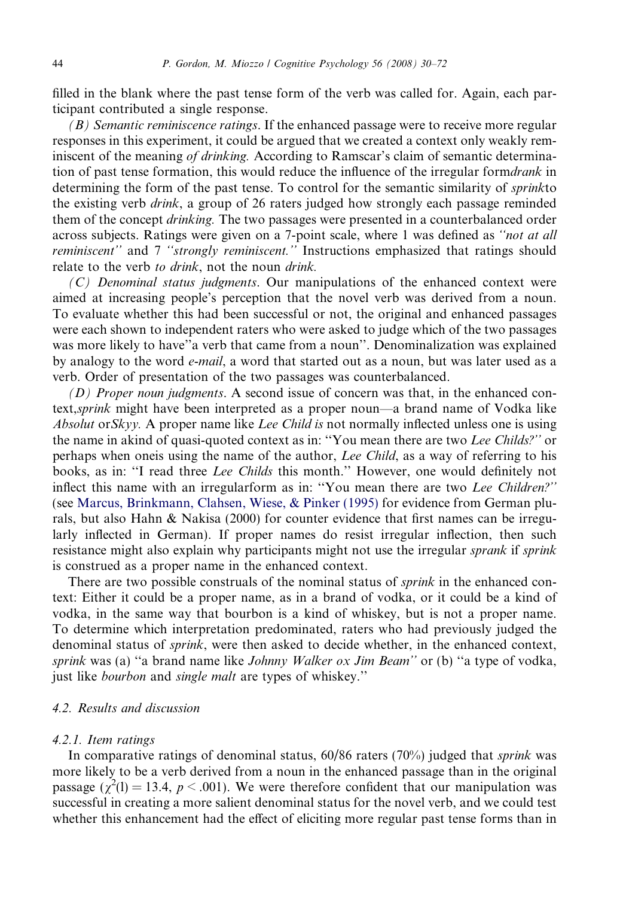filled in the blank where the past tense form of the verb was called for. Again, each participant contributed a single response.

(B) Semantic reminiscence ratings. If the enhanced passage were to receive more regular responses in this experiment, it could be argued that we created a context only weakly reminiscent of the meaning of drinking. According to Ramscar's claim of semantic determination of past tense formation, this would reduce the influence of the irregular formdrank in determining the form of the past tense. To control for the semantic similarity of *sprinkto* the existing verb drink, a group of 26 raters judged how strongly each passage reminded them of the concept *drinking*. The two passages were presented in a counterbalanced order across subjects. Ratings were given on a 7-point scale, where 1 was defined as ''not at all reminiscent" and 7 "strongly reminiscent." Instructions emphasized that ratings should relate to the verb *to drink*, not the noun *drink*.

 $(C)$  Denominal status judgments. Our manipulations of the enhanced context were aimed at increasing people's perception that the novel verb was derived from a noun. To evaluate whether this had been successful or not, the original and enhanced passages were each shown to independent raters who were asked to judge which of the two passages was more likely to have''a verb that came from a noun''. Denominalization was explained by analogy to the word *e-mail*, a word that started out as a noun, but was later used as a verb. Order of presentation of the two passages was counterbalanced.

 $(D)$  Proper noun judgments. A second issue of concern was that, in the enhanced context, *sprink* might have been interpreted as a proper noun—a brand name of Vodka like Absolut or Skyy. A proper name like Lee Child is not normally inflected unless one is using the name in akind of quasi-quoted context as in: ''You mean there are two Lee Childs?'' or perhaps when oneis using the name of the author, Lee Child, as a way of referring to his books, as in: "I read three Lee Childs this month." However, one would definitely not inflect this name with an irregularform as in: "You mean there are two Lee Children?" (see [Marcus, Brinkmann, Clahsen, Wiese, & Pinker \(1995\)](#page-42-0) for evidence from German plurals, but also Hahn  $\&$  Nakisa (2000) for counter evidence that first names can be irregularly inflected in German). If proper names do resist irregular inflection, then such resistance might also explain why participants might not use the irregular *sprank* if *sprink* is construed as a proper name in the enhanced context.

There are two possible construals of the nominal status of *sprink* in the enhanced context: Either it could be a proper name, as in a brand of vodka, or it could be a kind of vodka, in the same way that bourbon is a kind of whiskey, but is not a proper name. To determine which interpretation predominated, raters who had previously judged the denominal status of *sprink*, were then asked to decide whether, in the enhanced context, sprink was (a) "a brand name like *Johnny Walker ox Jim Beam*" or (b) "a type of vodka, just like *bourbon* and *single malt* are types of whiskey."

#### 4.2. Results and discussion

#### 4.2.1. Item ratings

In comparative ratings of denominal status, 60/86 raters (70%) judged that sprink was more likely to be a verb derived from a noun in the enhanced passage than in the original passage  $(\chi^2(1) = 13.4, p < .001)$ . We were therefore confident that our manipulation was successful in creating a more salient denominal status for the novel verb, and we could test whether this enhancement had the effect of eliciting more regular past tense forms than in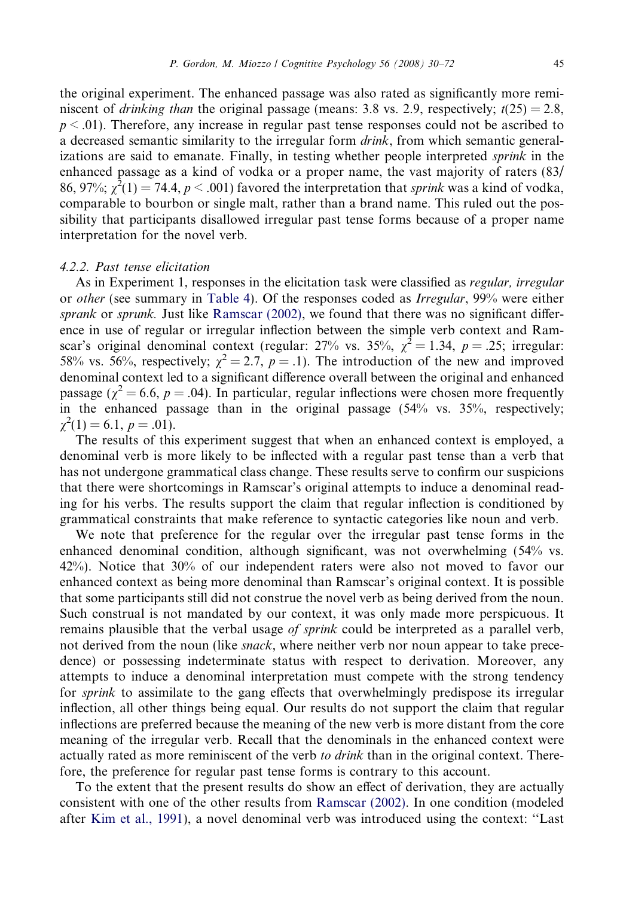the original experiment. The enhanced passage was also rated as significantly more reminiscent of *drinking than* the original passage (means: 3.8 vs. 2.9, respectively;  $t(25) = 2.8$ ,  $p < .01$ ). Therefore, any increase in regular past tense responses could not be ascribed to a decreased semantic similarity to the irregular form *drink*, from which semantic generalizations are said to emanate. Finally, in testing whether people interpreted sprink in the enhanced passage as a kind of vodka or a proper name, the vast majority of raters (83/ 86, 97%;  $\chi^2(1) = 74.4$ ,  $p < .001$ ) favored the interpretation that sprink was a kind of vodka, comparable to bourbon or single malt, rather than a brand name. This ruled out the possibility that participants disallowed irregular past tense forms because of a proper name interpretation for the novel verb.

#### 4.2.2. Past tense elicitation

As in Experiment 1, responses in the elicitation task were classified as regular, irregular or other (see summary in [Table 4\)](#page-16-0). Of the responses coded as Irregular, 99% were either sprank or sprunk. Just like [Ramscar \(2002\),](#page-42-0) we found that there was no significant difference in use of regular or irregular inflection between the simple verb context and Ramscar's original denominal context (regular: 27% vs. 35%,  $\chi^2 = 1.34$ ,  $p = .25$ ; irregular: 58% vs. 56%, respectively;  $\chi^2 = 2.7$ ,  $p = .1$ ). The introduction of the new and improved denominal context led to a significant difference overall between the original and enhanced passage ( $\chi^2$  = 6.6, p = .04). In particular, regular inflections were chosen more frequently in the enhanced passage than in the original passage  $(54\% \text{ vs. } 35\%$ , respectively;  $\chi^2(1) = 6.1, p = .01.$ 

The results of this experiment suggest that when an enhanced context is employed, a denominal verb is more likely to be inflected with a regular past tense than a verb that has not undergone grammatical class change. These results serve to confirm our suspicions that there were shortcomings in Ramscar's original attempts to induce a denominal reading for his verbs. The results support the claim that regular inflection is conditioned by grammatical constraints that make reference to syntactic categories like noun and verb.

We note that preference for the regular over the irregular past tense forms in the enhanced denominal condition, although significant, was not overwhelming (54% vs. 42%). Notice that 30% of our independent raters were also not moved to favor our enhanced context as being more denominal than Ramscar's original context. It is possible that some participants still did not construe the novel verb as being derived from the noun. Such construal is not mandated by our context, it was only made more perspicuous. It remains plausible that the verbal usage of sprink could be interpreted as a parallel verb, not derived from the noun (like *snack*, where neither verb nor noun appear to take precedence) or possessing indeterminate status with respect to derivation. Moreover, any attempts to induce a denominal interpretation must compete with the strong tendency for *sprink* to assimilate to the gang effects that overwhelmingly predispose its irregular inflection, all other things being equal. Our results do not support the claim that regular inflections are preferred because the meaning of the new verb is more distant from the core meaning of the irregular verb. Recall that the denominals in the enhanced context were actually rated as more reminiscent of the verb to drink than in the original context. Therefore, the preference for regular past tense forms is contrary to this account.

To the extent that the present results do show an effect of derivation, they are actually consistent with one of the other results from [Ramscar \(2002\).](#page-42-0) In one condition (modeled after [Kim et al., 1991](#page-41-0)), a novel denominal verb was introduced using the context: ''Last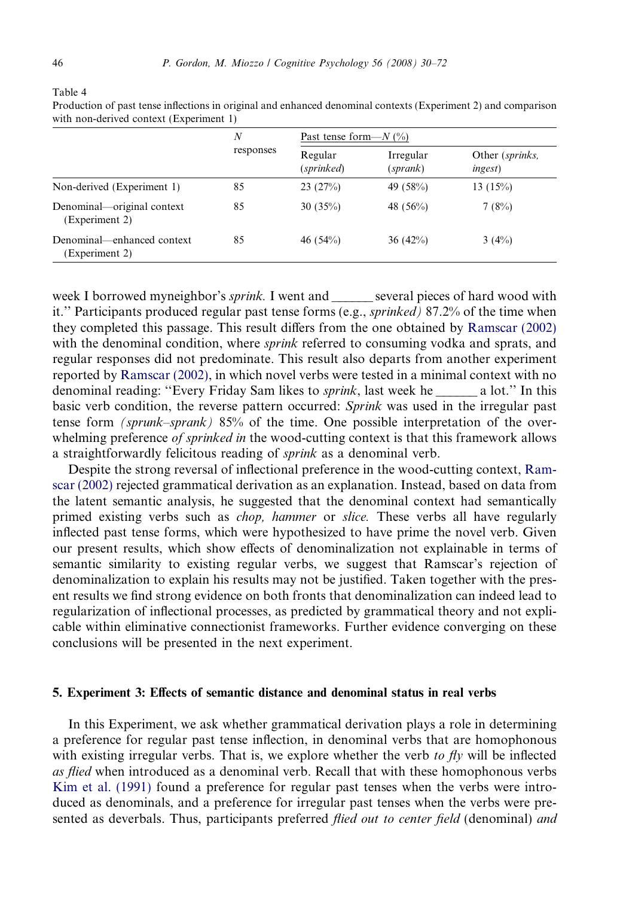<span id="page-16-0"></span>Table 4

|                                              | N<br>responses | Past tense form— $N$ (%) |                       |                                             |
|----------------------------------------------|----------------|--------------------------|-----------------------|---------------------------------------------|
|                                              |                | Regular<br>(sprinked)    | Irregular<br>(sprank) | Other ( <i>sprinks</i> ,<br><i>ingest</i> ) |
| Non-derived (Experiment 1)                   | 85             | 23(27%)                  | 49 (58%)              | 13(15%)                                     |
| Denominal—original context<br>(Experiment 2) | 85             | 30(35%)                  | 48 $(56\%)$           | 7(8%)                                       |
| Denominal—enhanced context<br>(Experiment 2) | 85             | 46 $(54\%)$              | $36(42\%)$            | 3(4%)                                       |

Production of past tense inflections in original and enhanced denominal contexts (Experiment 2) and comparison with non-derived context (Experiment 1)

week I borrowed myneighbor's *sprink*. I went and several pieces of hard wood with it.'' Participants produced regular past tense forms (e.g., sprinked) 87.2% of the time when they completed this passage. This result differs from the one obtained by [Ramscar \(2002\)](#page-42-0) with the denominal condition, where *sprink* referred to consuming vodka and sprats, and regular responses did not predominate. This result also departs from another experiment reported by [Ramscar \(2002\)](#page-42-0), in which novel verbs were tested in a minimal context with no denominal reading: ''Every Friday Sam likes to sprink, last week he \_\_\_\_\_\_ a lot.'' In this basic verb condition, the reverse pattern occurred: Sprink was used in the irregular past tense form (sprunk–sprank) 85% of the time. One possible interpretation of the overwhelming preference of sprinked in the wood-cutting context is that this framework allows a straightforwardly felicitous reading of sprink as a denominal verb.

Despite the strong reversal of inflectional preference in the wood-cutting context, [Ram](#page-42-0)[scar \(2002\)](#page-42-0) rejected grammatical derivation as an explanation. Instead, based on data from the latent semantic analysis, he suggested that the denominal context had semantically primed existing verbs such as *chop*, *hammer* or *slice*. These verbs all have regularly inflected past tense forms, which were hypothesized to have prime the novel verb. Given our present results, which show effects of denominalization not explainable in terms of semantic similarity to existing regular verbs, we suggest that Ramscar's rejection of denominalization to explain his results may not be justified. Taken together with the present results we find strong evidence on both fronts that denominalization can indeed lead to regularization of inflectional processes, as predicted by grammatical theory and not explicable within eliminative connectionist frameworks. Further evidence converging on these conclusions will be presented in the next experiment.

# 5. Experiment 3: Effects of semantic distance and denominal status in real verbs

In this Experiment, we ask whether grammatical derivation plays a role in determining a preference for regular past tense inflection, in denominal verbs that are homophonous with existing irregular verbs. That is, we explore whether the verb to  $f(y)$  will be inflected as flied when introduced as a denominal verb. Recall that with these homophonous verbs [Kim et al. \(1991\)](#page-41-0) found a preference for regular past tenses when the verbs were introduced as denominals, and a preference for irregular past tenses when the verbs were presented as deverbals. Thus, participants preferred *flied out to center field* (denominal) and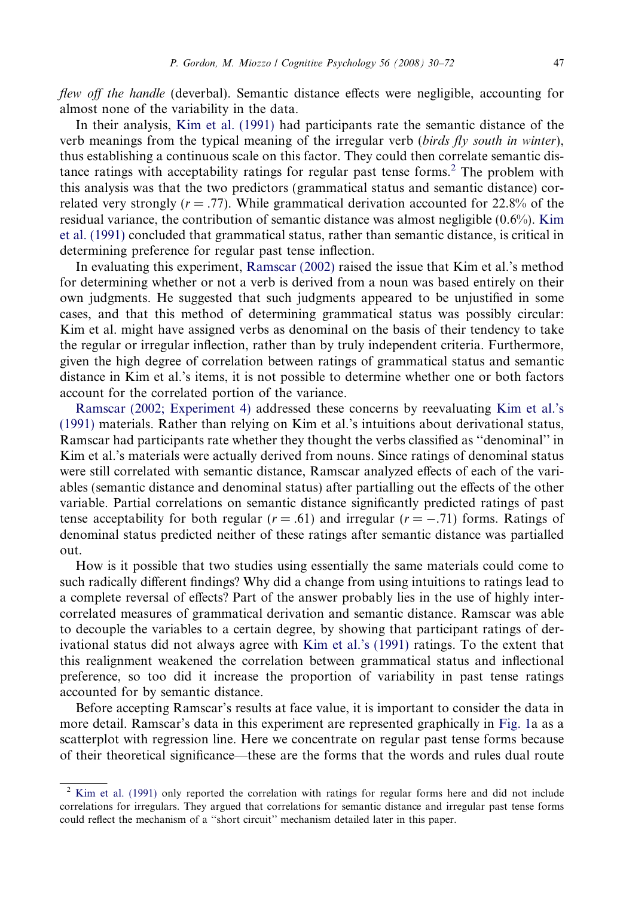flew off the handle (deverbal). Semantic distance effects were negligible, accounting for almost none of the variability in the data.

In their analysis, [Kim et al. \(1991\)](#page-41-0) had participants rate the semantic distance of the verb meanings from the typical meaning of the irregular verb (birds  $fly$  south in winter), thus establishing a continuous scale on this factor. They could then correlate semantic distance ratings with acceptability ratings for regular past tense forms.<sup>2</sup> The problem with this analysis was that the two predictors (grammatical status and semantic distance) correlated very strongly  $(r = .77)$ . While grammatical derivation accounted for 22.8% of the residual variance, the contribution of semantic distance was almost negligible (0.6%). [Kim](#page-41-0) [et al. \(1991\)](#page-41-0) concluded that grammatical status, rather than semantic distance, is critical in determining preference for regular past tense inflection.

In evaluating this experiment, [Ramscar \(2002\)](#page-42-0) raised the issue that Kim et al.'s method for determining whether or not a verb is derived from a noun was based entirely on their own judgments. He suggested that such judgments appeared to be unjustified in some cases, and that this method of determining grammatical status was possibly circular: Kim et al. might have assigned verbs as denominal on the basis of their tendency to take the regular or irregular inflection, rather than by truly independent criteria. Furthermore, given the high degree of correlation between ratings of grammatical status and semantic distance in Kim et al.'s items, it is not possible to determine whether one or both factors account for the correlated portion of the variance.

[Ramscar \(2002; Experiment 4\)](#page-42-0) addressed these concerns by reevaluating [Kim et al.'s](#page-41-0) [\(1991\)](#page-41-0) materials. Rather than relying on Kim et al.'s intuitions about derivational status, Ramscar had participants rate whether they thought the verbs classified as ''denominal'' in Kim et al.'s materials were actually derived from nouns. Since ratings of denominal status were still correlated with semantic distance, Ramscar analyzed effects of each of the variables (semantic distance and denominal status) after partialling out the effects of the other variable. Partial correlations on semantic distance significantly predicted ratings of past tense acceptability for both regular ( $r = .61$ ) and irregular ( $r = -.71$ ) forms. Ratings of denominal status predicted neither of these ratings after semantic distance was partialled out.

How is it possible that two studies using essentially the same materials could come to such radically different findings? Why did a change from using intuitions to ratings lead to a complete reversal of effects? Part of the answer probably lies in the use of highly intercorrelated measures of grammatical derivation and semantic distance. Ramscar was able to decouple the variables to a certain degree, by showing that participant ratings of derivational status did not always agree with [Kim et al.'s \(1991\)](#page-41-0) ratings. To the extent that this realignment weakened the correlation between grammatical status and inflectional preference, so too did it increase the proportion of variability in past tense ratings accounted for by semantic distance.

Before accepting Ramscar's results at face value, it is important to consider the data in more detail. Ramscar's data in this experiment are represented graphically in [Fig. 1](#page-18-0)a as a scatterplot with regression line. Here we concentrate on regular past tense forms because of their theoretical significance—these are the forms that the words and rules dual route

<sup>&</sup>lt;sup>2</sup> [Kim et al. \(1991\)](#page-41-0) only reported the correlation with ratings for regular forms here and did not include correlations for irregulars. They argued that correlations for semantic distance and irregular past tense forms could reflect the mechanism of a ''short circuit'' mechanism detailed later in this paper.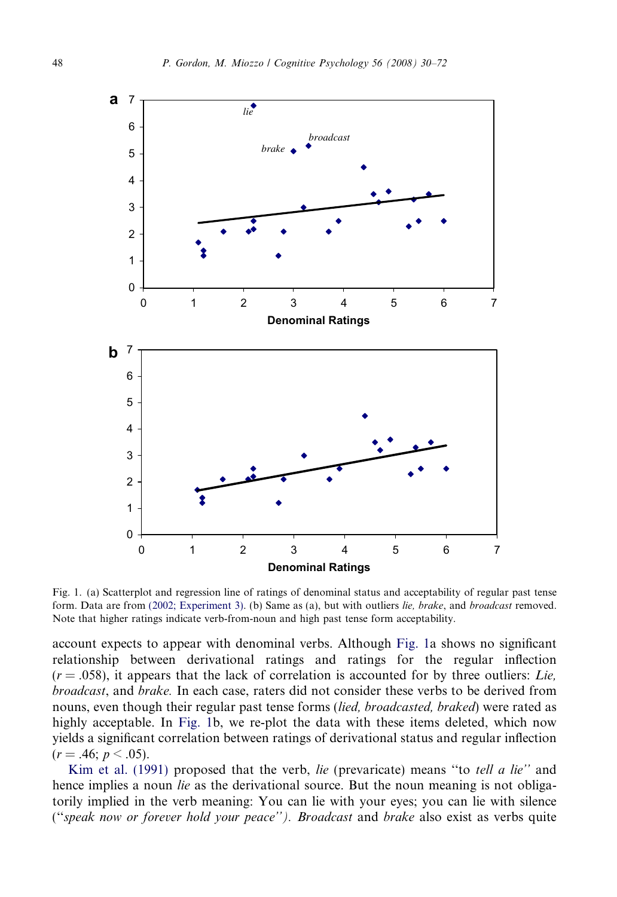<span id="page-18-0"></span>

Fig. 1. (a) Scatterplot and regression line of ratings of denominal status and acceptability of regular past tense form. Data are from [\(2002; Experiment 3\).](#page-42-0) (b) Same as (a), but with outliers lie, brake, and broadcast removed. Note that higher ratings indicate verb-from-noun and high past tense form acceptability.

account expects to appear with denominal verbs. Although Fig. 1a shows no significant relationship between derivational ratings and ratings for the regular inflection  $(r = .058)$ , it appears that the lack of correlation is accounted for by three outliers: Lie, broadcast, and brake. In each case, raters did not consider these verbs to be derived from nouns, even though their regular past tense forms *(lied, broadcasted, braked)* were rated as highly acceptable. In Fig. 1b, we re-plot the data with these items deleted, which now yields a significant correlation between ratings of derivational status and regular inflection  $(r = .46; p < .05)$ .

[Kim et al. \(1991\)](#page-41-0) proposed that the verb, *lie* (prevaricate) means "to *tell a lie"* and hence implies a noun *lie* as the derivational source. But the noun meaning is not obligatorily implied in the verb meaning: You can lie with your eyes; you can lie with silence (''speak now or forever hold your peace''). Broadcast and brake also exist as verbs quite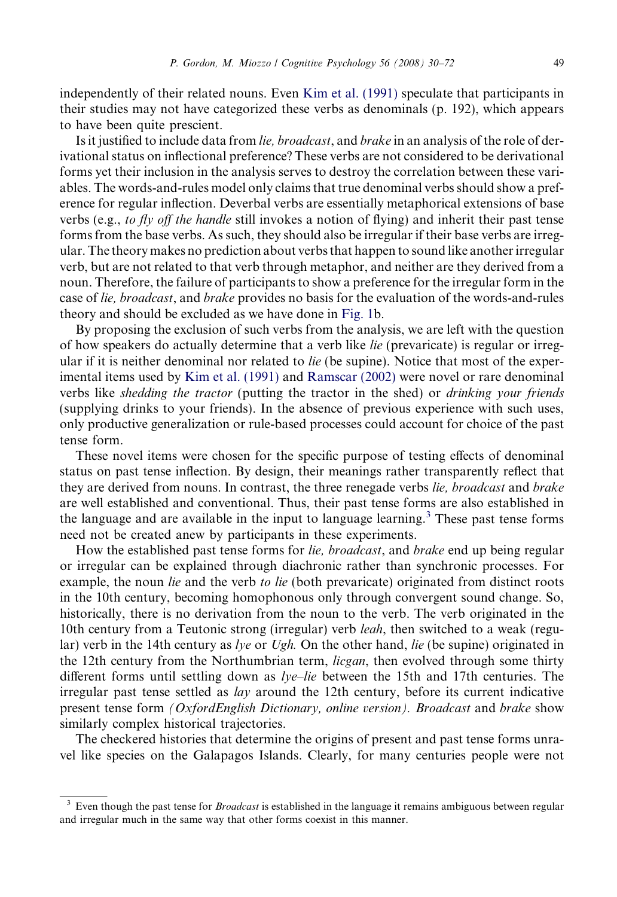independently of their related nouns. Even [Kim et al. \(1991\)](#page-41-0) speculate that participants in their studies may not have categorized these verbs as denominals (p. 192), which appears to have been quite prescient.

Is it justified to include data from *lie, broadcast*, and *brake* in an analysis of the role of derivational status on inflectional preference? These verbs are not considered to be derivational forms yet their inclusion in the analysis serves to destroy the correlation between these variables. The words-and-rules model only claims that true denominal verbs should show a preference for regular inflection. Deverbal verbs are essentially metaphorical extensions of base verbs (e.g., to fly off the handle still invokes a notion of flying) and inherit their past tense forms from the base verbs. As such, they should also be irregular if their base verbs are irregular. The theory makes no prediction about verbs that happen to sound like another irregular verb, but are not related to that verb through metaphor, and neither are they derived from a noun. Therefore, the failure of participants to show a preference for the irregular form in the case of *lie, broadcast*, and *brake* provides no basis for the evaluation of the words-and-rules theory and should be excluded as we have done in [Fig. 1b](#page-18-0).

By proposing the exclusion of such verbs from the analysis, we are left with the question of how speakers do actually determine that a verb like lie (prevaricate) is regular or irregular if it is neither denominal nor related to *lie* (be supine). Notice that most of the experimental items used by [Kim et al. \(1991\)](#page-41-0) and [Ramscar \(2002\)](#page-42-0) were novel or rare denominal verbs like shedding the tractor (putting the tractor in the shed) or drinking your friends (supplying drinks to your friends). In the absence of previous experience with such uses, only productive generalization or rule-based processes could account for choice of the past tense form.

These novel items were chosen for the specific purpose of testing effects of denominal status on past tense inflection. By design, their meanings rather transparently reflect that they are derived from nouns. In contrast, the three renegade verbs lie, broadcast and brake are well established and conventional. Thus, their past tense forms are also established in the language and are available in the input to language learning.<sup>3</sup> These past tense forms need not be created anew by participants in these experiments.

How the established past tense forms for *lie, broadcast*, and *brake* end up being regular or irregular can be explained through diachronic rather than synchronic processes. For example, the noun *lie* and the verb to *lie* (both prevaricate) originated from distinct roots in the 10th century, becoming homophonous only through convergent sound change. So, historically, there is no derivation from the noun to the verb. The verb originated in the 10th century from a Teutonic strong (irregular) verb *leah*, then switched to a weak (regular) verb in the 14th century as lye or Ugh. On the other hand, lie (be supine) originated in the 12th century from the Northumbrian term, *licgan*, then evolved through some thirty different forms until settling down as lye–lie between the 15th and 17th centuries. The irregular past tense settled as  $lay$  around the 12th century, before its current indicative present tense form (OxfordEnglish Dictionary, online version). Broadcast and brake show similarly complex historical trajectories.

The checkered histories that determine the origins of present and past tense forms unravel like species on the Galapagos Islands. Clearly, for many centuries people were not

<sup>&</sup>lt;sup>3</sup> Even though the past tense for *Broadcast* is established in the language it remains ambiguous between regular and irregular much in the same way that other forms coexist in this manner.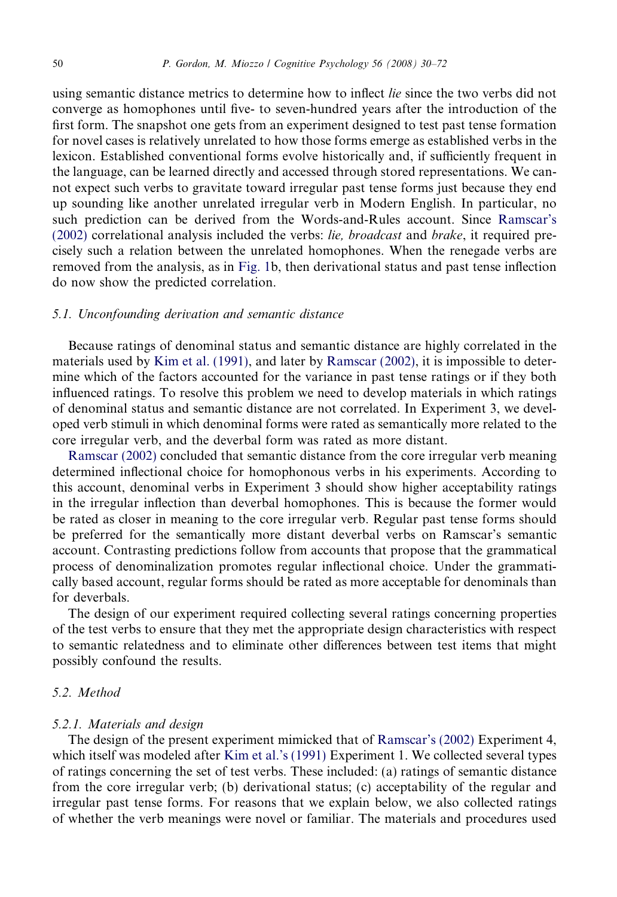using semantic distance metrics to determine how to inflect *lie* since the two verbs did not converge as homophones until five- to seven-hundred years after the introduction of the first form. The snapshot one gets from an experiment designed to test past tense formation for novel cases is relatively unrelated to how those forms emerge as established verbs in the lexicon. Established conventional forms evolve historically and, if sufficiently frequent in the language, can be learned directly and accessed through stored representations. We cannot expect such verbs to gravitate toward irregular past tense forms just because they end up sounding like another unrelated irregular verb in Modern English. In particular, no such prediction can be derived from the Words-and-Rules account. Since [Ramscar's](#page-42-0)  $(2002)$  correlational analysis included the verbs: *lie, broadcast* and *brake*, it required precisely such a relation between the unrelated homophones. When the renegade verbs are removed from the analysis, as in [Fig. 1](#page-18-0)b, then derivational status and past tense inflection do now show the predicted correlation.

#### 5.1. Unconfounding derivation and semantic distance

Because ratings of denominal status and semantic distance are highly correlated in the materials used by [Kim et al. \(1991\),](#page-41-0) and later by [Ramscar \(2002\)](#page-42-0), it is impossible to determine which of the factors accounted for the variance in past tense ratings or if they both influenced ratings. To resolve this problem we need to develop materials in which ratings of denominal status and semantic distance are not correlated. In Experiment 3, we developed verb stimuli in which denominal forms were rated as semantically more related to the core irregular verb, and the deverbal form was rated as more distant.

[Ramscar \(2002\)](#page-42-0) concluded that semantic distance from the core irregular verb meaning determined inflectional choice for homophonous verbs in his experiments. According to this account, denominal verbs in Experiment 3 should show higher acceptability ratings in the irregular inflection than deverbal homophones. This is because the former would be rated as closer in meaning to the core irregular verb. Regular past tense forms should be preferred for the semantically more distant deverbal verbs on Ramscar's semantic account. Contrasting predictions follow from accounts that propose that the grammatical process of denominalization promotes regular inflectional choice. Under the grammatically based account, regular forms should be rated as more acceptable for denominals than for deverbals.

The design of our experiment required collecting several ratings concerning properties of the test verbs to ensure that they met the appropriate design characteristics with respect to semantic relatedness and to eliminate other differences between test items that might possibly confound the results.

#### 5.2. Method

#### 5.2.1. Materials and design

The design of the present experiment mimicked that of [Ramscar's \(2002\)](#page-42-0) Experiment 4, which itself was modeled after [Kim et al.'s \(1991\)](#page-41-0) Experiment 1. We collected several types of ratings concerning the set of test verbs. These included: (a) ratings of semantic distance from the core irregular verb; (b) derivational status; (c) acceptability of the regular and irregular past tense forms. For reasons that we explain below, we also collected ratings of whether the verb meanings were novel or familiar. The materials and procedures used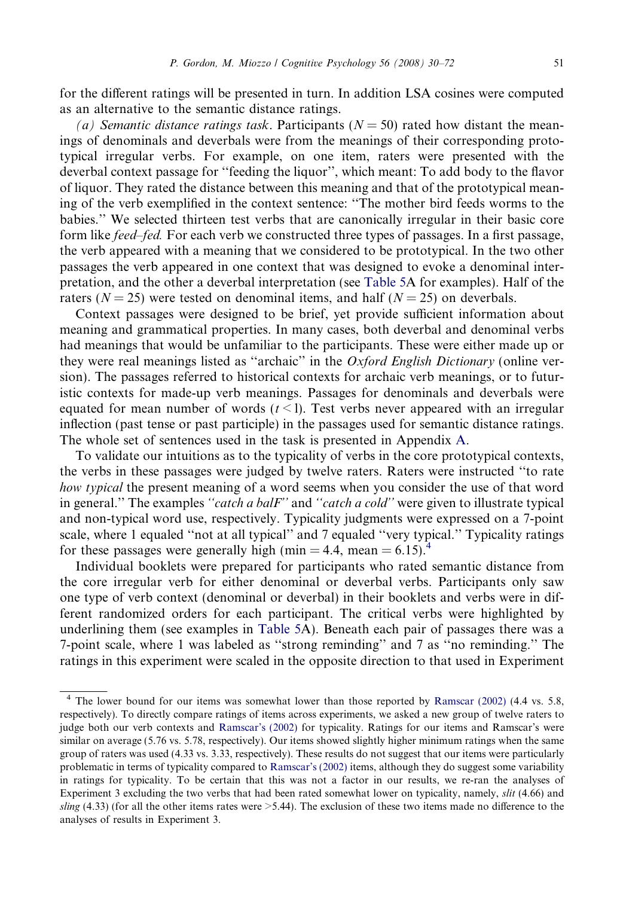for the different ratings will be presented in turn. In addition LSA cosines were computed as an alternative to the semantic distance ratings.

(a) Semantic distance ratings task. Participants ( $N = 50$ ) rated how distant the meanings of denominals and deverbals were from the meanings of their corresponding prototypical irregular verbs. For example, on one item, raters were presented with the deverbal context passage for ''feeding the liquor'', which meant: To add body to the flavor of liquor. They rated the distance between this meaning and that of the prototypical meaning of the verb exemplified in the context sentence: ''The mother bird feeds worms to the babies.'' We selected thirteen test verbs that are canonically irregular in their basic core form like *feed–fed*. For each verb we constructed three types of passages. In a first passage, the verb appeared with a meaning that we considered to be prototypical. In the two other passages the verb appeared in one context that was designed to evoke a denominal interpretation, and the other a deverbal interpretation (see [Table 5](#page-23-0)A for examples). Half of the raters ( $N = 25$ ) were tested on denominal items, and half ( $N = 25$ ) on deverbals.

Context passages were designed to be brief, yet provide sufficient information about meaning and grammatical properties. In many cases, both deverbal and denominal verbs had meanings that would be unfamiliar to the participants. These were either made up or they were real meanings listed as "archaic" in the *Oxford English Dictionary* (online version). The passages referred to historical contexts for archaic verb meanings, or to futuristic contexts for made-up verb meanings. Passages for denominals and deverbals were equated for mean number of words  $(t \leq 1)$ . Test verbs never appeared with an irregular inflection (past tense or past participle) in the passages used for semantic distance ratings. The whole set of sentences used in the task is presented in Appendix A.

To validate our intuitions as to the typicality of verbs in the core prototypical contexts, the verbs in these passages were judged by twelve raters. Raters were instructed ''to rate how typical the present meaning of a word seems when you consider the use of that word in general." The examples "catch a balF" and "catch a cold" were given to illustrate typical and non-typical word use, respectively. Typicality judgments were expressed on a 7-point scale, where 1 equaled ''not at all typical'' and 7 equaled ''very typical.'' Typicality ratings for these passages were generally high (min = 4.4, mean =  $6.15$ ).<sup>4</sup>

Individual booklets were prepared for participants who rated semantic distance from the core irregular verb for either denominal or deverbal verbs. Participants only saw one type of verb context (denominal or deverbal) in their booklets and verbs were in different randomized orders for each participant. The critical verbs were highlighted by underlining them (see examples in [Table 5](#page-23-0)A). Beneath each pair of passages there was a 7-point scale, where 1 was labeled as ''strong reminding'' and 7 as ''no reminding.'' The ratings in this experiment were scaled in the opposite direction to that used in Experiment

<sup>&</sup>lt;sup>4</sup> The lower bound for our items was somewhat lower than those reported by [Ramscar \(2002\)](#page-42-0) (4.4 vs. 5.8, respectively). To directly compare ratings of items across experiments, we asked a new group of twelve raters to judge both our verb contexts and [Ramscar's \(2002\)](#page-42-0) for typicality. Ratings for our items and Ramscar's were similar on average (5.76 vs. 5.78, respectively). Our items showed slightly higher minimum ratings when the same group of raters was used (4.33 vs. 3.33, respectively). These results do not suggest that our items were particularly problematic in terms of typicality compared to [Ramscar's \(2002\)](#page-42-0) items, although they do suggest some variability in ratings for typicality. To be certain that this was not a factor in our results, we re-ran the analyses of Experiment 3 excluding the two verbs that had been rated somewhat lower on typicality, namely, slit (4.66) and sling (4.33) (for all the other items rates were  $> 5.44$ ). The exclusion of these two items made no difference to the analyses of results in Experiment 3.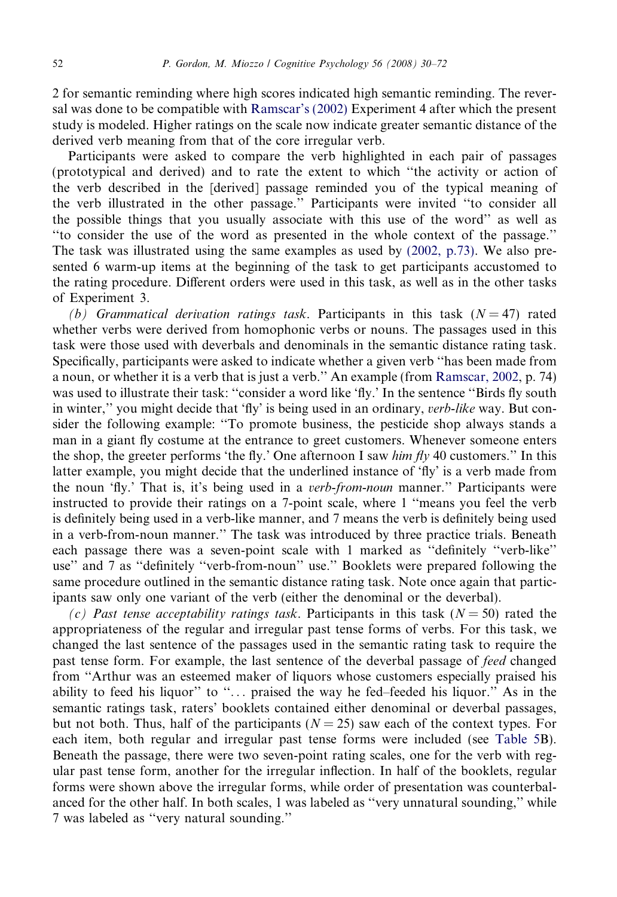2 for semantic reminding where high scores indicated high semantic reminding. The reversal was done to be compatible with [Ramscar's \(2002\)](#page-42-0) Experiment 4 after which the present study is modeled. Higher ratings on the scale now indicate greater semantic distance of the derived verb meaning from that of the core irregular verb.

Participants were asked to compare the verb highlighted in each pair of passages (prototypical and derived) and to rate the extent to which ''the activity or action of the verb described in the [derived] passage reminded you of the typical meaning of the verb illustrated in the other passage.'' Participants were invited ''to consider all the possible things that you usually associate with this use of the word'' as well as ''to consider the use of the word as presented in the whole context of the passage.'' The task was illustrated using the same examples as used by [\(2002, p.73\)](#page-42-0). We also presented 6 warm-up items at the beginning of the task to get participants accustomed to the rating procedure. Different orders were used in this task, as well as in the other tasks of Experiment 3.

(b) Grammatical derivation ratings task. Participants in this task  $(N = 47)$  rated whether verbs were derived from homophonic verbs or nouns. The passages used in this task were those used with deverbals and denominals in the semantic distance rating task. Specifically, participants were asked to indicate whether a given verb ''has been made from a noun, or whether it is a verb that is just a verb.'' An example (from [Ramscar, 2002](#page-42-0), p. 74) was used to illustrate their task: "consider a word like 'fly.' In the sentence "Birds fly south in winter," you might decide that 'fly' is being used in an ordinary, *verb-like* way. But consider the following example: ''To promote business, the pesticide shop always stands a man in a giant fly costume at the entrance to greet customers. Whenever someone enters the shop, the greeter performs 'the fly.' One afternoon I saw  $\lim f_V$  40 customers.'' In this latter example, you might decide that the underlined instance of 'fly' is a verb made from the noun 'fly.' That is, it's being used in a verb-from-noun manner.'' Participants were instructed to provide their ratings on a 7-point scale, where 1 ''means you feel the verb is definitely being used in a verb-like manner, and 7 means the verb is definitely being used in a verb-from-noun manner.'' The task was introduced by three practice trials. Beneath each passage there was a seven-point scale with 1 marked as ''definitely ''verb-like'' use'' and 7 as ''definitely ''verb-from-noun'' use.'' Booklets were prepared following the same procedure outlined in the semantic distance rating task. Note once again that participants saw only one variant of the verb (either the denominal or the deverbal).

(c) Past tense acceptability ratings task. Participants in this task  $(N = 50)$  rated the appropriateness of the regular and irregular past tense forms of verbs. For this task, we changed the last sentence of the passages used in the semantic rating task to require the past tense form. For example, the last sentence of the deverbal passage of feed changed from ''Arthur was an esteemed maker of liquors whose customers especially praised his ability to feed his liquor'' to ''... praised the way he fed–feeded his liquor.'' As in the semantic ratings task, raters' booklets contained either denominal or deverbal passages, but not both. Thus, half of the participants ( $N = 25$ ) saw each of the context types. For each item, both regular and irregular past tense forms were included (see [Table 5B](#page-23-0)). Beneath the passage, there were two seven-point rating scales, one for the verb with regular past tense form, another for the irregular inflection. In half of the booklets, regular forms were shown above the irregular forms, while order of presentation was counterbalanced for the other half. In both scales, 1 was labeled as ''very unnatural sounding,'' while 7 was labeled as ''very natural sounding.''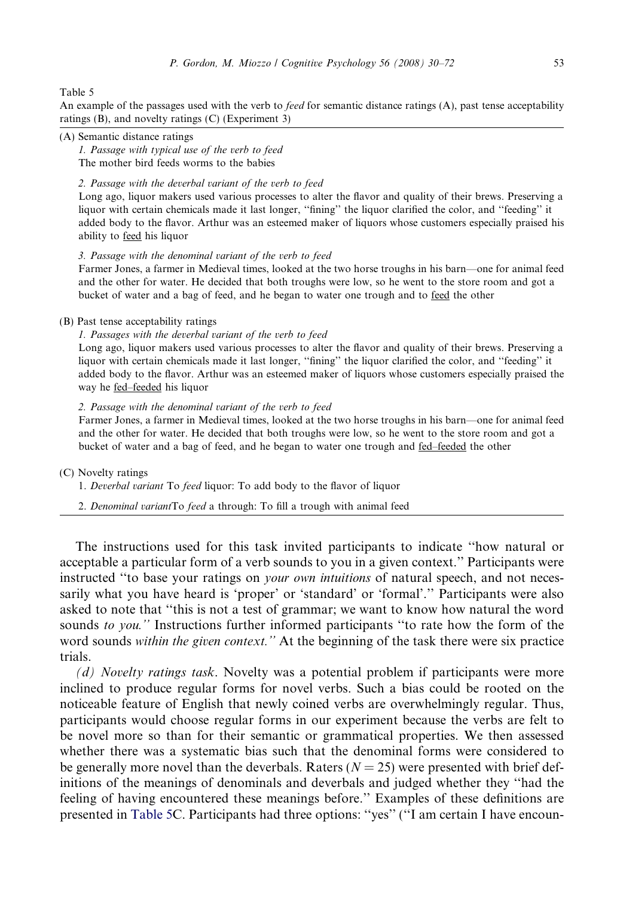#### <span id="page-23-0"></span>Table 5

An example of the passages used with the verb to *feed* for semantic distance ratings  $(A)$ , past tense acceptability ratings (B), and novelty ratings (C) (Experiment 3)

#### (A) Semantic distance ratings

1. Passage with typical use of the verb to feed The mother bird feeds worms to the babies

#### 2. Passage with the deverbal variant of the verb to feed

Long ago, liquor makers used various processes to alter the flavor and quality of their brews. Preserving a liquor with certain chemicals made it last longer, ''fining'' the liquor clarified the color, and ''feeding'' it added body to the flavor. Arthur was an esteemed maker of liquors whose customers especially praised his ability to feed his liquor

#### 3. Passage with the denominal variant of the verb to feed

Farmer Jones, a farmer in Medieval times, looked at the two horse troughs in his barn—one for animal feed and the other for water. He decided that both troughs were low, so he went to the store room and got a bucket of water and a bag of feed, and he began to water one trough and to feed the other

#### (B) Past tense acceptability ratings

#### 1. Passages with the deverbal variant of the verb to feed

Long ago, liquor makers used various processes to alter the flavor and quality of their brews. Preserving a liquor with certain chemicals made it last longer, ''fining'' the liquor clarified the color, and ''feeding'' it added body to the flavor. Arthur was an esteemed maker of liquors whose customers especially praised the way he fed–feeded his liquor

#### 2. Passage with the denominal variant of the verb to feed

Farmer Jones, a farmer in Medieval times, looked at the two horse troughs in his barn—one for animal feed and the other for water. He decided that both troughs were low, so he went to the store room and got a bucket of water and a bag of feed, and he began to water one trough and fed–feeded the other

#### (C) Novelty ratings

- 1. Deverbal variant To feed liquor: To add body to the flavor of liquor
- 2. Denominal variantTo feed a through: To fill a trough with animal feed

The instructions used for this task invited participants to indicate ''how natural or acceptable a particular form of a verb sounds to you in a given context.'' Participants were instructed "to base your ratings on *your own intuitions* of natural speech, and not necessarily what you have heard is 'proper' or 'standard' or 'formal'.'' Participants were also asked to note that ''this is not a test of grammar; we want to know how natural the word sounds to you." Instructions further informed participants "to rate how the form of the word sounds within the given context." At the beginning of the task there were six practice trials.

(d) Novelty ratings task. Novelty was a potential problem if participants were more inclined to produce regular forms for novel verbs. Such a bias could be rooted on the noticeable feature of English that newly coined verbs are overwhelmingly regular. Thus, participants would choose regular forms in our experiment because the verbs are felt to be novel more so than for their semantic or grammatical properties. We then assessed whether there was a systematic bias such that the denominal forms were considered to be generally more novel than the deverbals. Raters  $(N = 25)$  were presented with brief definitions of the meanings of denominals and deverbals and judged whether they ''had the feeling of having encountered these meanings before.'' Examples of these definitions are presented in Table 5C. Participants had three options: ''yes'' (''I am certain I have encoun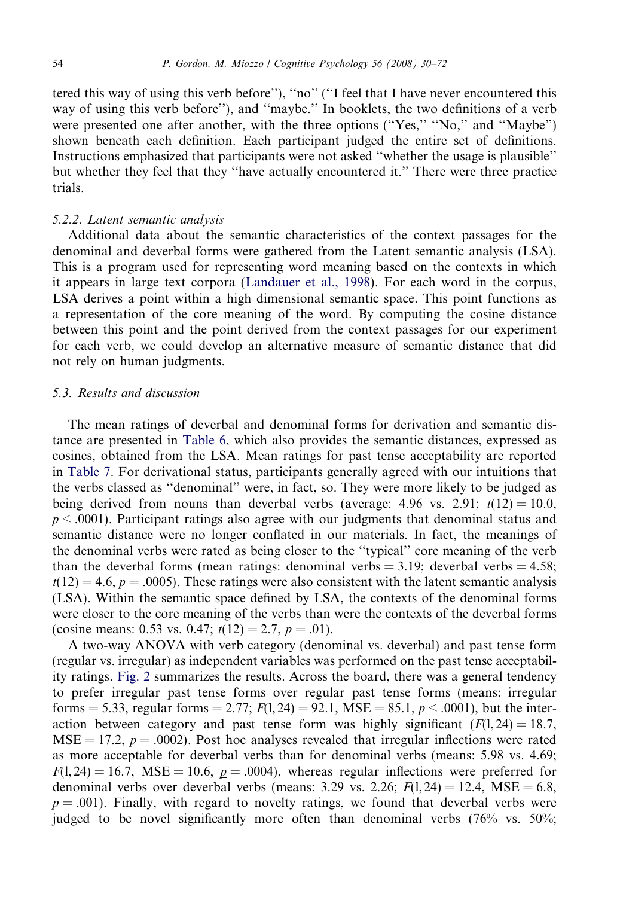tered this way of using this verb before''), ''no'' (''I feel that I have never encountered this way of using this verb before''), and ''maybe.'' In booklets, the two definitions of a verb were presented one after another, with the three options ("Yes," "No," and "Maybe") shown beneath each definition. Each participant judged the entire set of definitions. Instructions emphasized that participants were not asked ''whether the usage is plausible'' but whether they feel that they ''have actually encountered it.'' There were three practice trials.

#### 5.2.2. Latent semantic analysis

Additional data about the semantic characteristics of the context passages for the denominal and deverbal forms were gathered from the Latent semantic analysis (LSA). This is a program used for representing word meaning based on the contexts in which it appears in large text corpora [\(Landauer et al., 1998\)](#page-42-0). For each word in the corpus, LSA derives a point within a high dimensional semantic space. This point functions as a representation of the core meaning of the word. By computing the cosine distance between this point and the point derived from the context passages for our experiment for each verb, we could develop an alternative measure of semantic distance that did not rely on human judgments.

# 5.3. Results and discussion

The mean ratings of deverbal and denominal forms for derivation and semantic distance are presented in [Table 6](#page-25-0), which also provides the semantic distances, expressed as cosines, obtained from the LSA. Mean ratings for past tense acceptability are reported in [Table 7.](#page-25-0) For derivational status, participants generally agreed with our intuitions that the verbs classed as ''denominal'' were, in fact, so. They were more likely to be judged as being derived from nouns than deverbal verbs (average: 4.96 vs. 2.91;  $t(12) = 10.0$ ,  $p < .0001$ ). Participant ratings also agree with our judgments that denominal status and semantic distance were no longer conflated in our materials. In fact, the meanings of the denominal verbs were rated as being closer to the ''typical'' core meaning of the verb than the deverbal forms (mean ratings: denominal verbs  $= 3.19$ ; deverbal verbs  $= 4.58$ ;  $t(12) = 4.6$ ,  $p = .0005$ . These ratings were also consistent with the latent semantic analysis (LSA). Within the semantic space defined by LSA, the contexts of the denominal forms were closer to the core meaning of the verbs than were the contexts of the deverbal forms (cosine means: 0.53 vs. 0.47;  $t(12) = 2.7$ ,  $p = .01$ ).

A two-way ANOVA with verb category (denominal vs. deverbal) and past tense form (regular vs. irregular) as independent variables was performed on the past tense acceptability ratings. [Fig. 2](#page-26-0) summarizes the results. Across the board, there was a general tendency to prefer irregular past tense forms over regular past tense forms (means: irregular forms = 5.33, regular forms = 2.77;  $F(1, 24) = 92.1$ ,  $MSE = 85.1$ ,  $p < .0001$ ), but the interaction between category and past tense form was highly significant  $(F(1, 24) = 18.7$ ,  $MSE = 17.2$ ,  $p = .0002$ ). Post hoc analyses revealed that irregular inflections were rated as more acceptable for deverbal verbs than for denominal verbs (means: 5.98 vs. 4.69;  $F(1, 24) = 16.7$ , MSE = 10.6,  $p = .0004$ ), whereas regular inflections were preferred for denominal verbs over deverbal verbs (means: 3.29 vs. 2.26;  $F(1, 24) = 12.4$ , MSE = 6.8,  $p = .001$ ). Finally, with regard to novelty ratings, we found that deverbal verbs were judged to be novel significantly more often than denominal verbs (76% vs. 50%;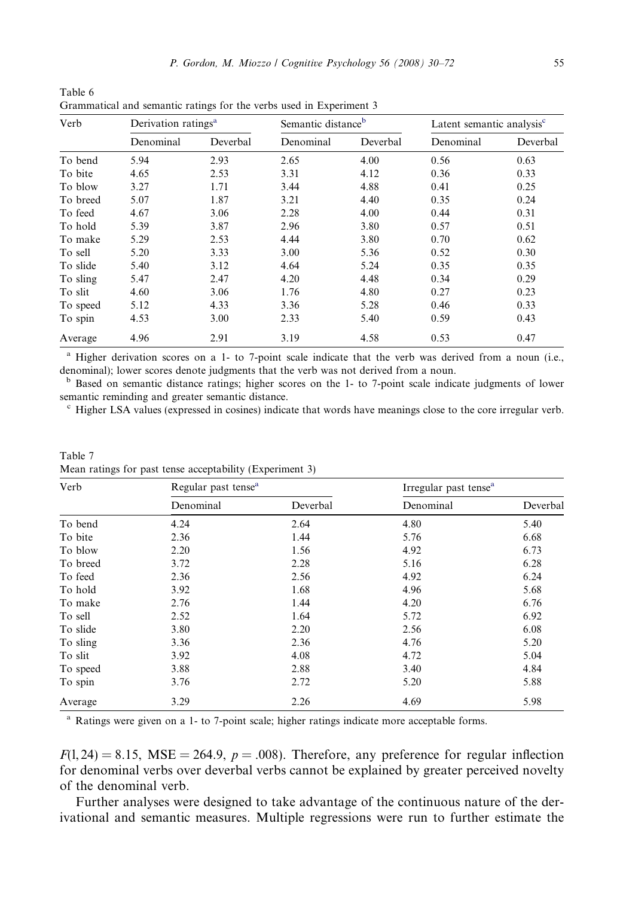| Verb     | Derivation ratings <sup>a</sup> |          | Semantic distance <sup>b</sup> |          | Latent semantic analysis <sup>c</sup> |          |
|----------|---------------------------------|----------|--------------------------------|----------|---------------------------------------|----------|
|          | Denominal                       | Deverbal | Denominal                      | Deverbal | Denominal                             | Deverbal |
| To bend  | 5.94                            | 2.93     | 2.65                           | 4.00     | 0.56                                  | 0.63     |
| To bite  | 4.65                            | 2.53     | 3.31                           | 4.12     | 0.36                                  | 0.33     |
| To blow  | 3.27                            | 1.71     | 3.44                           | 4.88     | 0.41                                  | 0.25     |
| To breed | 5.07                            | 1.87     | 3.21                           | 4.40     | 0.35                                  | 0.24     |
| To feed  | 4.67                            | 3.06     | 2.28                           | 4.00     | 0.44                                  | 0.31     |
| To hold  | 5.39                            | 3.87     | 2.96                           | 3.80     | 0.57                                  | 0.51     |
| To make  | 5.29                            | 2.53     | 4.44                           | 3.80     | 0.70                                  | 0.62     |
| To sell  | 5.20                            | 3.33     | 3.00                           | 5.36     | 0.52                                  | 0.30     |
| To slide | 5.40                            | 3.12     | 4.64                           | 5.24     | 0.35                                  | 0.35     |
| To sling | 5.47                            | 2.47     | 4.20                           | 4.48     | 0.34                                  | 0.29     |
| To slit  | 4.60                            | 3.06     | 1.76                           | 4.80     | 0.27                                  | 0.23     |
| To speed | 5.12                            | 4.33     | 3.36                           | 5.28     | 0.46                                  | 0.33     |
| To spin  | 4.53                            | 3.00     | 2.33                           | 5.40     | 0.59                                  | 0.43     |
| Average  | 4.96                            | 2.91     | 3.19                           | 4.58     | 0.53                                  | 0.47     |

<span id="page-25-0"></span>Table 6 Grammatical and semantic ratings for the verbs used in Experiment 3

<sup>a</sup> Higher derivation scores on a 1- to 7-point scale indicate that the verb was derived from a noun (i.e., denominal); lower scores denote judgments that the verb was not derived from a noun.

<sup>b</sup> Based on semantic distance ratings; higher scores on the 1- to 7-point scale indicate judgments of lower semantic reminding and greater semantic distance.

<sup>c</sup> Higher LSA values (expressed in cosines) indicate that words have meanings close to the core irregular verb.

| Verb     | Regular past tense <sup>a</sup> |          | Irregular past tense <sup>a</sup> |          |
|----------|---------------------------------|----------|-----------------------------------|----------|
|          | Denominal                       | Deverbal | Denominal                         | Deverbal |
| To bend  | 4.24                            | 2.64     | 4.80                              | 5.40     |
| To bite  | 2.36                            | 1.44     | 5.76                              | 6.68     |
| To blow  | 2.20                            | 1.56     | 4.92                              | 6.73     |
| To breed | 3.72                            | 2.28     | 5.16                              | 6.28     |
| To feed  | 2.36                            | 2.56     | 4.92                              | 6.24     |
| To hold  | 3.92                            | 1.68     | 4.96                              | 5.68     |
| To make  | 2.76                            | 1.44     | 4.20                              | 6.76     |
| To sell  | 2.52                            | 1.64     | 5.72                              | 6.92     |
| To slide | 3.80                            | 2.20     | 2.56                              | 6.08     |
| To sling | 3.36                            | 2.36     | 4.76                              | 5.20     |
| To slit  | 3.92                            | 4.08     | 4.72                              | 5.04     |
| To speed | 3.88                            | 2.88     | 3.40                              | 4.84     |
| To spin  | 3.76                            | 2.72     | 5.20                              | 5.88     |
| Average  | 3.29                            | 2.26     | 4.69                              | 5.98     |

Table 7 Mean ratings for past tense acceptability (Experiment 3)

Ratings were given on a 1- to 7-point scale; higher ratings indicate more acceptable forms.

 $F(1, 24) = 8.15$ , MSE = 264.9,  $p = .008$ ). Therefore, any preference for regular inflection for denominal verbs over deverbal verbs cannot be explained by greater perceived novelty of the denominal verb.

Further analyses were designed to take advantage of the continuous nature of the derivational and semantic measures. Multiple regressions were run to further estimate the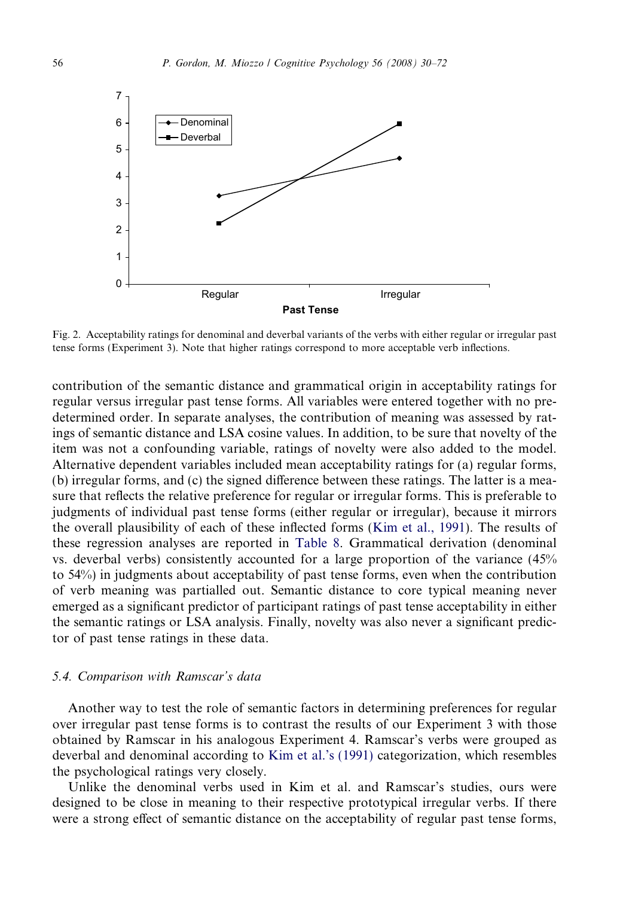<span id="page-26-0"></span>

Fig. 2. Acceptability ratings for denominal and deverbal variants of the verbs with either regular or irregular past tense forms (Experiment 3). Note that higher ratings correspond to more acceptable verb inflections.

contribution of the semantic distance and grammatical origin in acceptability ratings for regular versus irregular past tense forms. All variables were entered together with no predetermined order. In separate analyses, the contribution of meaning was assessed by ratings of semantic distance and LSA cosine values. In addition, to be sure that novelty of the item was not a confounding variable, ratings of novelty were also added to the model. Alternative dependent variables included mean acceptability ratings for (a) regular forms, (b) irregular forms, and (c) the signed difference between these ratings. The latter is a measure that reflects the relative preference for regular or irregular forms. This is preferable to judgments of individual past tense forms (either regular or irregular), because it mirrors the overall plausibility of each of these inflected forms ([Kim et al., 1991](#page-41-0)). The results of these regression analyses are reported in [Table 8.](#page-27-0) Grammatical derivation (denominal vs. deverbal verbs) consistently accounted for a large proportion of the variance (45% to 54%) in judgments about acceptability of past tense forms, even when the contribution of verb meaning was partialled out. Semantic distance to core typical meaning never emerged as a significant predictor of participant ratings of past tense acceptability in either the semantic ratings or LSA analysis. Finally, novelty was also never a significant predictor of past tense ratings in these data.

#### 5.4. Comparison with Ramscar's data

Another way to test the role of semantic factors in determining preferences for regular over irregular past tense forms is to contrast the results of our Experiment 3 with those obtained by Ramscar in his analogous Experiment 4. Ramscar's verbs were grouped as deverbal and denominal according to [Kim et al.'s \(1991\)](#page-41-0) categorization, which resembles the psychological ratings very closely.

Unlike the denominal verbs used in Kim et al. and Ramscar's studies, ours were designed to be close in meaning to their respective prototypical irregular verbs. If there were a strong effect of semantic distance on the acceptability of regular past tense forms,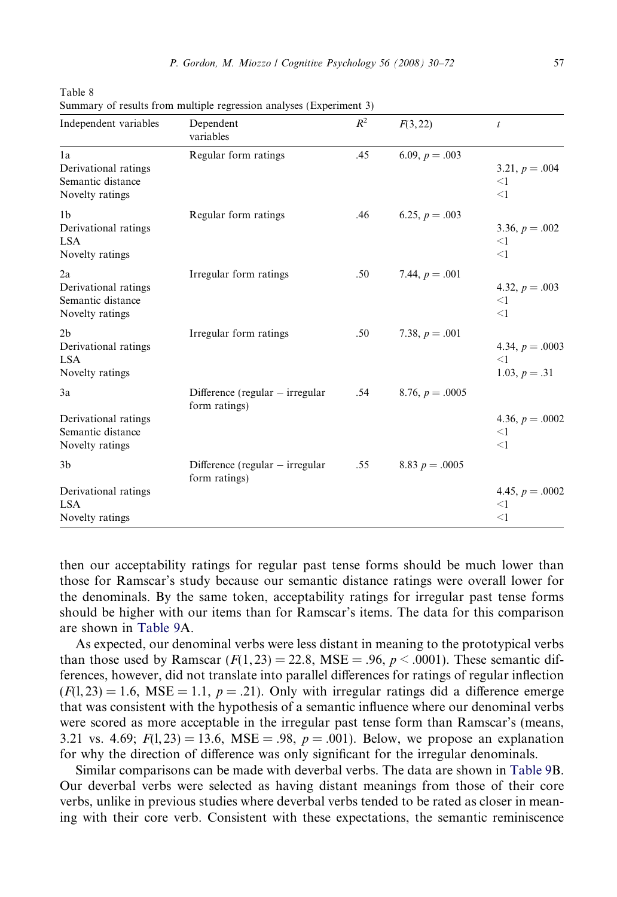| Independent variables                                                   | Dependent<br>variables                             | $R^2$ | F(3, 22)          | $\mathfrak{t}$                                   |
|-------------------------------------------------------------------------|----------------------------------------------------|-------|-------------------|--------------------------------------------------|
| 1a<br>Derivational ratings<br>Semantic distance<br>Novelty ratings      | Regular form ratings                               | .45   | 6.09, $p = .003$  | 3.21, $p = .004$<br>$\leq$ 1<br>$\leq$ 1         |
| 1 <sub>b</sub><br>Derivational ratings<br><b>LSA</b><br>Novelty ratings | Regular form ratings                               | .46   | 6.25, $p = .003$  | 3.36, $p = .002$<br>$\leq$ 1<br>$\leq$ 1         |
| 2a<br>Derivational ratings<br>Semantic distance<br>Novelty ratings      | Irregular form ratings                             | .50   | 7.44, $p = .001$  | 4.32, $p = .003$<br>$\leq$ 1<br>$\leq$ 1         |
| 2 <sub>b</sub><br>Derivational ratings<br><b>LSA</b><br>Novelty ratings | Irregular form ratings                             | .50   | 7.38, $p = .001$  | 4.34, $p = .0003$<br>$\leq$ 1<br>1.03, $p = .31$ |
| 3a                                                                      | Difference (regular $-$ irregular<br>form ratings) | .54   | 8.76, $p = .0005$ |                                                  |
| Derivational ratings<br>Semantic distance<br>Novelty ratings            |                                                    |       |                   | 4.36, $p = .0002$<br>$\leq$ 1<br>$\leq$ 1        |
| 3b                                                                      | Difference (regular - irregular<br>form ratings)   | .55   | 8.83 $p = .0005$  |                                                  |
| Derivational ratings<br><b>LSA</b><br>Novelty ratings                   |                                                    |       |                   | 4.45, $p = .0002$<br>$\leq$ 1<br>$\leq$ 1        |

<span id="page-27-0"></span>Table 8

Summary of results from multiple regression analyses (Experiment 3)

then our acceptability ratings for regular past tense forms should be much lower than those for Ramscar's study because our semantic distance ratings were overall lower for the denominals. By the same token, acceptability ratings for irregular past tense forms should be higher with our items than for Ramscar's items. The data for this comparison are shown in [Table 9A](#page-28-0).

As expected, our denominal verbs were less distant in meaning to the prototypical verbs than those used by Ramscar  $(F(1, 23) = 22.8$ , MSE = .96,  $p < .0001$ ). These semantic differences, however, did not translate into parallel differences for ratings of regular inflection  $(F(1, 23) = 1.6$ , MSE = 1.1,  $p = .21$ ). Only with irregular ratings did a difference emerge that was consistent with the hypothesis of a semantic influence where our denominal verbs were scored as more acceptable in the irregular past tense form than Ramscar's (means, 3.21 vs. 4.69;  $F(1, 23) = 13.6$ ,  $MSE = .98$ ,  $p = .001$ ). Below, we propose an explanation for why the direction of difference was only significant for the irregular denominals.

Similar comparisons can be made with deverbal verbs. The data are shown in [Table 9B](#page-28-0). Our deverbal verbs were selected as having distant meanings from those of their core verbs, unlike in previous studies where deverbal verbs tended to be rated as closer in meaning with their core verb. Consistent with these expectations, the semantic reminiscence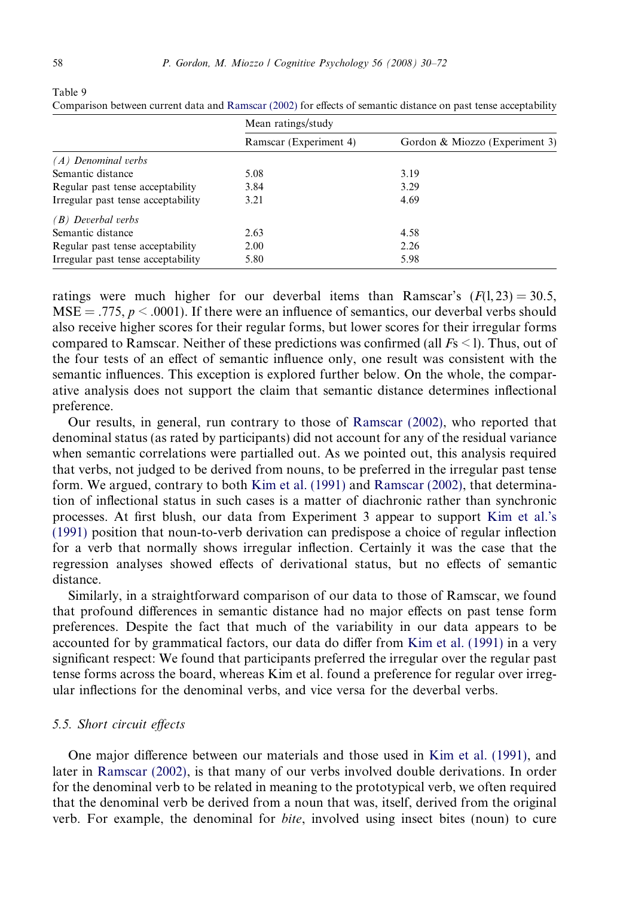|                                    | Mean ratings/study     |                                |  |
|------------------------------------|------------------------|--------------------------------|--|
|                                    | Ramscar (Experiment 4) | Gordon & Miozzo (Experiment 3) |  |
| $(A)$ Denominal verbs              |                        |                                |  |
| Semantic distance                  | 5.08                   | 3.19                           |  |
| Regular past tense acceptability   | 3.84                   | 3.29                           |  |
| Irregular past tense acceptability | 3.21                   | 4.69                           |  |
| (B) Deverbal verbs                 |                        |                                |  |
| Semantic distance                  | 2.63                   | 4.58                           |  |
| Regular past tense acceptability   | 2.00                   | 2.26                           |  |
| Irregular past tense acceptability | 5.80                   | 5.98                           |  |

Comparison between current data and [Ramscar \(2002\)](#page-42-0) for effects of semantic distance on past tense acceptability

ratings were much higher for our deverbal items than Ramscar's  $(F(1, 23) = 30.5$ ,  $MSE = .775$ ,  $p < .0001$ ). If there were an influence of semantics, our deverbal verbs should also receive higher scores for their regular forms, but lower scores for their irregular forms compared to Ramscar. Neither of these predictions was confirmed (all  $Fs \leq 1$ ). Thus, out of the four tests of an effect of semantic influence only, one result was consistent with the semantic influences. This exception is explored further below. On the whole, the comparative analysis does not support the claim that semantic distance determines inflectional preference.

Our results, in general, run contrary to those of [Ramscar \(2002\)](#page-42-0), who reported that denominal status (as rated by participants) did not account for any of the residual variance when semantic correlations were partialled out. As we pointed out, this analysis required that verbs, not judged to be derived from nouns, to be preferred in the irregular past tense form. We argued, contrary to both [Kim et al. \(1991\)](#page-41-0) and [Ramscar \(2002\),](#page-42-0) that determination of inflectional status in such cases is a matter of diachronic rather than synchronic processes. At first blush, our data from Experiment 3 appear to support [Kim et al.'s](#page-41-0) [\(1991\)](#page-41-0) position that noun-to-verb derivation can predispose a choice of regular inflection for a verb that normally shows irregular inflection. Certainly it was the case that the regression analyses showed effects of derivational status, but no effects of semantic distance.

Similarly, in a straightforward comparison of our data to those of Ramscar, we found that profound differences in semantic distance had no major effects on past tense form preferences. Despite the fact that much of the variability in our data appears to be accounted for by grammatical factors, our data do differ from [Kim et al. \(1991\)](#page-41-0) in a very significant respect: We found that participants preferred the irregular over the regular past tense forms across the board, whereas Kim et al. found a preference for regular over irregular inflections for the denominal verbs, and vice versa for the deverbal verbs.

#### 5.5. Short circuit effects

One major difference between our materials and those used in [Kim et al. \(1991\)](#page-41-0), and later in [Ramscar \(2002\),](#page-42-0) is that many of our verbs involved double derivations. In order for the denominal verb to be related in meaning to the prototypical verb, we often required that the denominal verb be derived from a noun that was, itself, derived from the original verb. For example, the denominal for bite, involved using insect bites (noun) to cure

<span id="page-28-0"></span>Table 9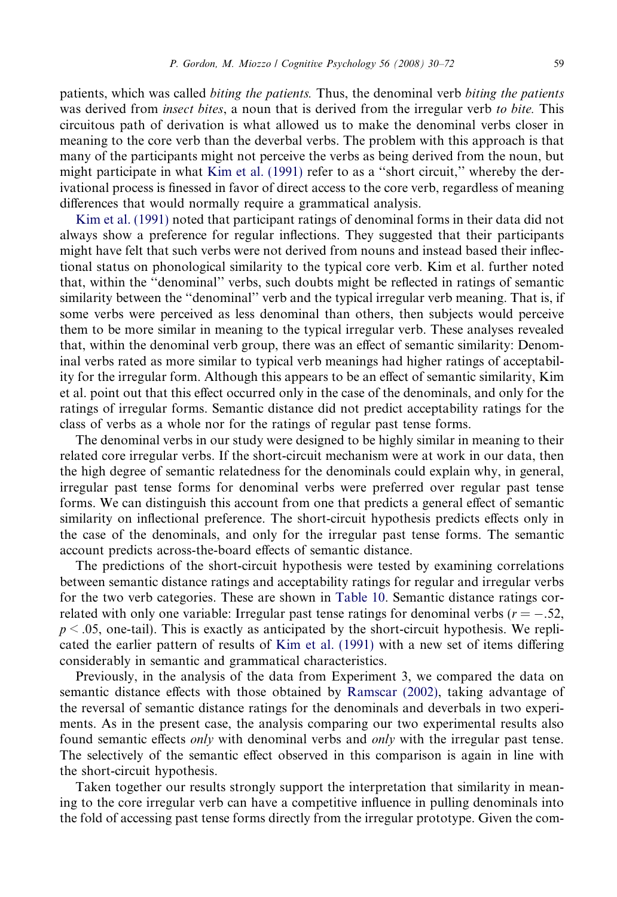patients, which was called biting the patients. Thus, the denominal verb biting the patients was derived from *insect bites*, a noun that is derived from the irregular verb to bite. This circuitous path of derivation is what allowed us to make the denominal verbs closer in meaning to the core verb than the deverbal verbs. The problem with this approach is that many of the participants might not perceive the verbs as being derived from the noun, but might participate in what [Kim et al. \(1991\)](#page-41-0) refer to as a "short circuit," whereby the derivational process is finessed in favor of direct access to the core verb, regardless of meaning differences that would normally require a grammatical analysis.

[Kim et al. \(1991\)](#page-41-0) noted that participant ratings of denominal forms in their data did not always show a preference for regular inflections. They suggested that their participants might have felt that such verbs were not derived from nouns and instead based their inflectional status on phonological similarity to the typical core verb. Kim et al. further noted that, within the ''denominal'' verbs, such doubts might be reflected in ratings of semantic similarity between the ''denominal'' verb and the typical irregular verb meaning. That is, if some verbs were perceived as less denominal than others, then subjects would perceive them to be more similar in meaning to the typical irregular verb. These analyses revealed that, within the denominal verb group, there was an effect of semantic similarity: Denominal verbs rated as more similar to typical verb meanings had higher ratings of acceptability for the irregular form. Although this appears to be an effect of semantic similarity, Kim et al. point out that this effect occurred only in the case of the denominals, and only for the ratings of irregular forms. Semantic distance did not predict acceptability ratings for the class of verbs as a whole nor for the ratings of regular past tense forms.

The denominal verbs in our study were designed to be highly similar in meaning to their related core irregular verbs. If the short-circuit mechanism were at work in our data, then the high degree of semantic relatedness for the denominals could explain why, in general, irregular past tense forms for denominal verbs were preferred over regular past tense forms. We can distinguish this account from one that predicts a general effect of semantic similarity on inflectional preference. The short-circuit hypothesis predicts effects only in the case of the denominals, and only for the irregular past tense forms. The semantic account predicts across-the-board effects of semantic distance.

The predictions of the short-circuit hypothesis were tested by examining correlations between semantic distance ratings and acceptability ratings for regular and irregular verbs for the two verb categories. These are shown in [Table 10](#page-30-0). Semantic distance ratings correlated with only one variable: Irregular past tense ratings for denominal verbs ( $r = -.52$ ,  $p < .05$ , one-tail). This is exactly as anticipated by the short-circuit hypothesis. We replicated the earlier pattern of results of [Kim et al. \(1991\)](#page-41-0) with a new set of items differing considerably in semantic and grammatical characteristics.

Previously, in the analysis of the data from Experiment 3, we compared the data on semantic distance effects with those obtained by [Ramscar \(2002\)](#page-42-0), taking advantage of the reversal of semantic distance ratings for the denominals and deverbals in two experiments. As in the present case, the analysis comparing our two experimental results also found semantic effects only with denominal verbs and only with the irregular past tense. The selectively of the semantic effect observed in this comparison is again in line with the short-circuit hypothesis.

Taken together our results strongly support the interpretation that similarity in meaning to the core irregular verb can have a competitive influence in pulling denominals into the fold of accessing past tense forms directly from the irregular prototype. Given the com-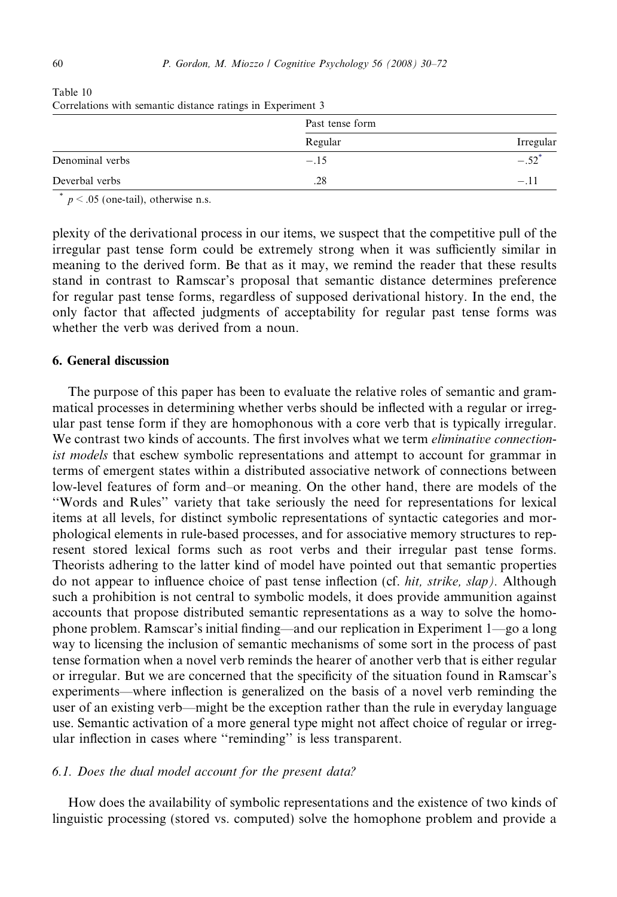|                 | Past tense form |           |  |
|-----------------|-----------------|-----------|--|
|                 | Regular         | Irregular |  |
| Denominal verbs | $-.15$          | $-.52$    |  |
| Deverbal verbs  | .28             | $-.11$    |  |

<span id="page-30-0"></span>Table 10 Correlations with semantic distance ratings in Experiment 3

 $*$   $p < .05$  (one-tail), otherwise n.s.

plexity of the derivational process in our items, we suspect that the competitive pull of the irregular past tense form could be extremely strong when it was sufficiently similar in meaning to the derived form. Be that as it may, we remind the reader that these results stand in contrast to Ramscar's proposal that semantic distance determines preference for regular past tense forms, regardless of supposed derivational history. In the end, the only factor that affected judgments of acceptability for regular past tense forms was whether the verb was derived from a noun.

# 6. General discussion

The purpose of this paper has been to evaluate the relative roles of semantic and grammatical processes in determining whether verbs should be inflected with a regular or irregular past tense form if they are homophonous with a core verb that is typically irregular. We contrast two kinds of accounts. The first involves what we term *eliminative connection*ist models that eschew symbolic representations and attempt to account for grammar in terms of emergent states within a distributed associative network of connections between low-level features of form and–or meaning. On the other hand, there are models of the ''Words and Rules'' variety that take seriously the need for representations for lexical items at all levels, for distinct symbolic representations of syntactic categories and morphological elements in rule-based processes, and for associative memory structures to represent stored lexical forms such as root verbs and their irregular past tense forms. Theorists adhering to the latter kind of model have pointed out that semantic properties do not appear to influence choice of past tense inflection (cf. *hit, strike, slap*). Although such a prohibition is not central to symbolic models, it does provide ammunition against accounts that propose distributed semantic representations as a way to solve the homophone problem. Ramscar's initial finding—and our replication in Experiment 1—go a long way to licensing the inclusion of semantic mechanisms of some sort in the process of past tense formation when a novel verb reminds the hearer of another verb that is either regular or irregular. But we are concerned that the specificity of the situation found in Ramscar's experiments—where inflection is generalized on the basis of a novel verb reminding the user of an existing verb—might be the exception rather than the rule in everyday language use. Semantic activation of a more general type might not affect choice of regular or irregular inflection in cases where ''reminding'' is less transparent.

#### 6.1. Does the dual model account for the present data?

How does the availability of symbolic representations and the existence of two kinds of linguistic processing (stored vs. computed) solve the homophone problem and provide a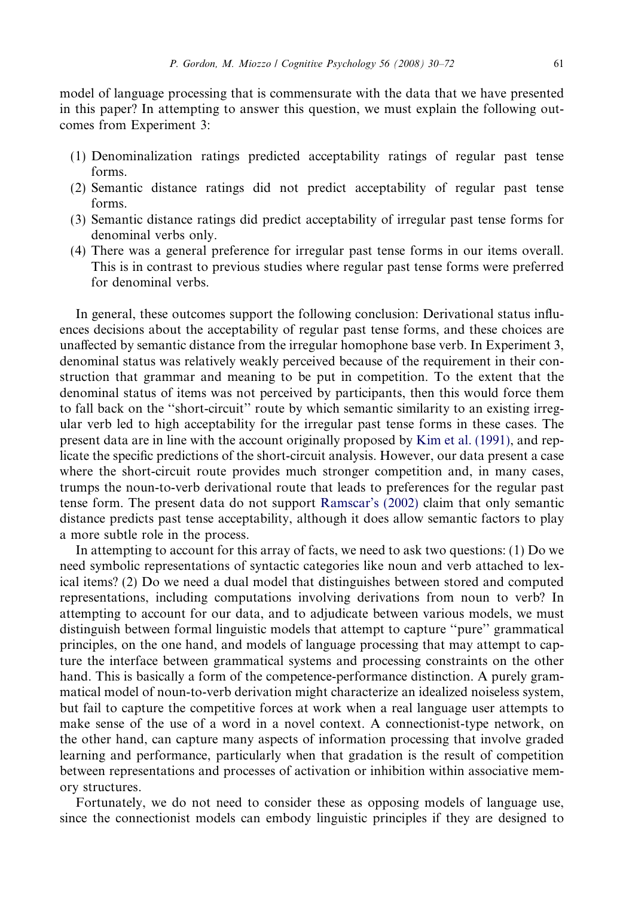model of language processing that is commensurate with the data that we have presented in this paper? In attempting to answer this question, we must explain the following outcomes from Experiment 3:

- (1) Denominalization ratings predicted acceptability ratings of regular past tense forms.
- (2) Semantic distance ratings did not predict acceptability of regular past tense forms.
- (3) Semantic distance ratings did predict acceptability of irregular past tense forms for denominal verbs only.
- (4) There was a general preference for irregular past tense forms in our items overall. This is in contrast to previous studies where regular past tense forms were preferred for denominal verbs.

In general, these outcomes support the following conclusion: Derivational status influences decisions about the acceptability of regular past tense forms, and these choices are unaffected by semantic distance from the irregular homophone base verb. In Experiment 3, denominal status was relatively weakly perceived because of the requirement in their construction that grammar and meaning to be put in competition. To the extent that the denominal status of items was not perceived by participants, then this would force them to fall back on the ''short-circuit'' route by which semantic similarity to an existing irregular verb led to high acceptability for the irregular past tense forms in these cases. The present data are in line with the account originally proposed by [Kim et al. \(1991\)](#page-41-0), and replicate the specific predictions of the short-circuit analysis. However, our data present a case where the short-circuit route provides much stronger competition and, in many cases, trumps the noun-to-verb derivational route that leads to preferences for the regular past tense form. The present data do not support [Ramscar's \(2002\)](#page-42-0) claim that only semantic distance predicts past tense acceptability, although it does allow semantic factors to play a more subtle role in the process.

In attempting to account for this array of facts, we need to ask two questions: (1) Do we need symbolic representations of syntactic categories like noun and verb attached to lexical items? (2) Do we need a dual model that distinguishes between stored and computed representations, including computations involving derivations from noun to verb? In attempting to account for our data, and to adjudicate between various models, we must distinguish between formal linguistic models that attempt to capture ''pure'' grammatical principles, on the one hand, and models of language processing that may attempt to capture the interface between grammatical systems and processing constraints on the other hand. This is basically a form of the competence-performance distinction. A purely grammatical model of noun-to-verb derivation might characterize an idealized noiseless system, but fail to capture the competitive forces at work when a real language user attempts to make sense of the use of a word in a novel context. A connectionist-type network, on the other hand, can capture many aspects of information processing that involve graded learning and performance, particularly when that gradation is the result of competition between representations and processes of activation or inhibition within associative memory structures.

Fortunately, we do not need to consider these as opposing models of language use, since the connectionist models can embody linguistic principles if they are designed to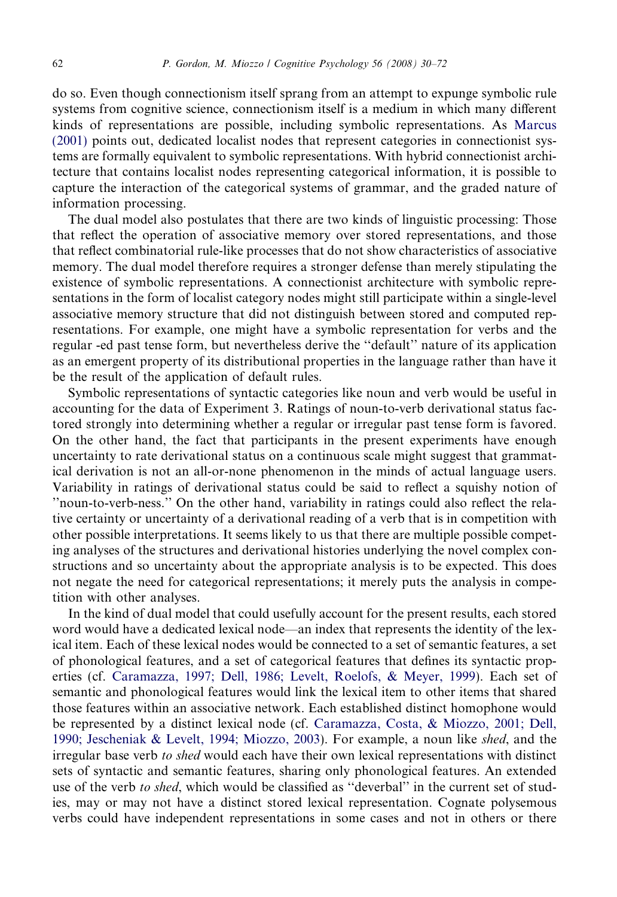do so. Even though connectionism itself sprang from an attempt to expunge symbolic rule systems from cognitive science, connectionism itself is a medium in which many different kinds of representations are possible, including symbolic representations. As [Marcus](#page-42-0) [\(2001\)](#page-42-0) points out, dedicated localist nodes that represent categories in connectionist systems are formally equivalent to symbolic representations. With hybrid connectionist architecture that contains localist nodes representing categorical information, it is possible to capture the interaction of the categorical systems of grammar, and the graded nature of information processing.

The dual model also postulates that there are two kinds of linguistic processing: Those that reflect the operation of associative memory over stored representations, and those that reflect combinatorial rule-like processes that do not show characteristics of associative memory. The dual model therefore requires a stronger defense than merely stipulating the existence of symbolic representations. A connectionist architecture with symbolic representations in the form of localist category nodes might still participate within a single-level associative memory structure that did not distinguish between stored and computed representations. For example, one might have a symbolic representation for verbs and the regular -ed past tense form, but nevertheless derive the ''default'' nature of its application as an emergent property of its distributional properties in the language rather than have it be the result of the application of default rules.

Symbolic representations of syntactic categories like noun and verb would be useful in accounting for the data of Experiment 3. Ratings of noun-to-verb derivational status factored strongly into determining whether a regular or irregular past tense form is favored. On the other hand, the fact that participants in the present experiments have enough uncertainty to rate derivational status on a continuous scale might suggest that grammatical derivation is not an all-or-none phenomenon in the minds of actual language users. Variability in ratings of derivational status could be said to reflect a squishy notion of ''noun-to-verb-ness.'' On the other hand, variability in ratings could also reflect the relative certainty or uncertainty of a derivational reading of a verb that is in competition with other possible interpretations. It seems likely to us that there are multiple possible competing analyses of the structures and derivational histories underlying the novel complex constructions and so uncertainty about the appropriate analysis is to be expected. This does not negate the need for categorical representations; it merely puts the analysis in competition with other analyses.

In the kind of dual model that could usefully account for the present results, each stored word would have a dedicated lexical node—an index that represents the identity of the lexical item. Each of these lexical nodes would be connected to a set of semantic features, a set of phonological features, and a set of categorical features that defines its syntactic properties (cf. [Caramazza, 1997; Dell, 1986; Levelt, Roelofs, & Meyer, 1999\)](#page-41-0). Each set of semantic and phonological features would link the lexical item to other items that shared those features within an associative network. Each established distinct homophone would be represented by a distinct lexical node (cf. [Caramazza, Costa, & Miozzo, 2001; Dell,](#page-41-0) [1990; Jescheniak & Levelt, 1994; Miozzo, 2003\)](#page-41-0). For example, a noun like *shed*, and the irregular base verb to shed would each have their own lexical representations with distinct sets of syntactic and semantic features, sharing only phonological features. An extended use of the verb to shed, which would be classified as "deverbal" in the current set of studies, may or may not have a distinct stored lexical representation. Cognate polysemous verbs could have independent representations in some cases and not in others or there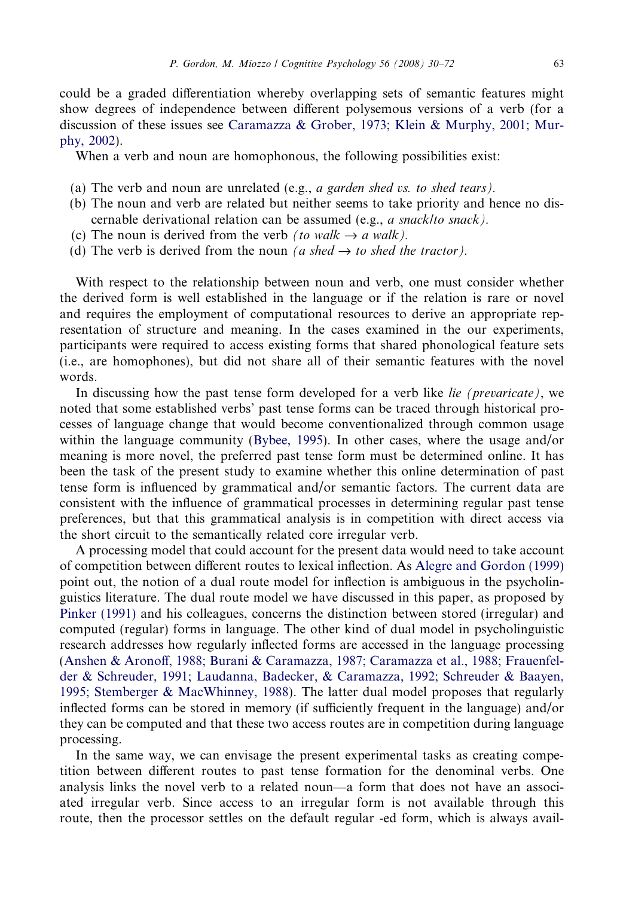could be a graded differentiation whereby overlapping sets of semantic features might show degrees of independence between different polysemous versions of a verb (for a discussion of these issues see [Caramazza & Grober, 1973; Klein & Murphy, 2001; Mur](#page-41-0)[phy, 2002](#page-41-0)).

When a verb and noun are homophonous, the following possibilities exist:

- (a) The verb and noun are unrelated (e.g., a garden shed vs. to shed tears).
- (b) The noun and verb are related but neither seems to take priority and hence no discernable derivational relation can be assumed (e.g., a snack/to snack).
- (c) The noun is derived from the verb (to walk  $\rightarrow$  a walk).
- (d) The verb is derived from the noun (a shed  $\rightarrow$  to shed the tractor).

With respect to the relationship between noun and verb, one must consider whether the derived form is well established in the language or if the relation is rare or novel and requires the employment of computational resources to derive an appropriate representation of structure and meaning. In the cases examined in the our experiments, participants were required to access existing forms that shared phonological feature sets (i.e., are homophones), but did not share all of their semantic features with the novel words.

In discussing how the past tense form developed for a verb like *lie (prevaricate)*, we noted that some established verbs' past tense forms can be traced through historical processes of language change that would become conventionalized through common usage within the language community [\(Bybee, 1995\)](#page-41-0). In other cases, where the usage and/or meaning is more novel, the preferred past tense form must be determined online. It has been the task of the present study to examine whether this online determination of past tense form is influenced by grammatical and/or semantic factors. The current data are consistent with the influence of grammatical processes in determining regular past tense preferences, but that this grammatical analysis is in competition with direct access via the short circuit to the semantically related core irregular verb.

A processing model that could account for the present data would need to take account of competition between different routes to lexical inflection. As [Alegre and Gordon \(1999\)](#page-41-0) point out, the notion of a dual route model for inflection is ambiguous in the psycholinguistics literature. The dual route model we have discussed in this paper, as proposed by [Pinker \(1991\)](#page-42-0) and his colleagues, concerns the distinction between stored (irregular) and computed (regular) forms in language. The other kind of dual model in psycholinguistic research addresses how regularly inflected forms are accessed in the language processing ([Anshen & Aronoff, 1988; Burani & Caramazza, 1987; Caramazza et al., 1988; Frauenfel](#page-41-0)[der & Schreuder, 1991; Laudanna, Badecker, & Caramazza, 1992; Schreuder & Baayen,](#page-41-0) [1995; Stemberger & MacWhinney, 1988](#page-41-0)). The latter dual model proposes that regularly inflected forms can be stored in memory (if sufficiently frequent in the language) and/or they can be computed and that these two access routes are in competition during language processing.

In the same way, we can envisage the present experimental tasks as creating competition between different routes to past tense formation for the denominal verbs. One analysis links the novel verb to a related noun—a form that does not have an associated irregular verb. Since access to an irregular form is not available through this route, then the processor settles on the default regular -ed form, which is always avail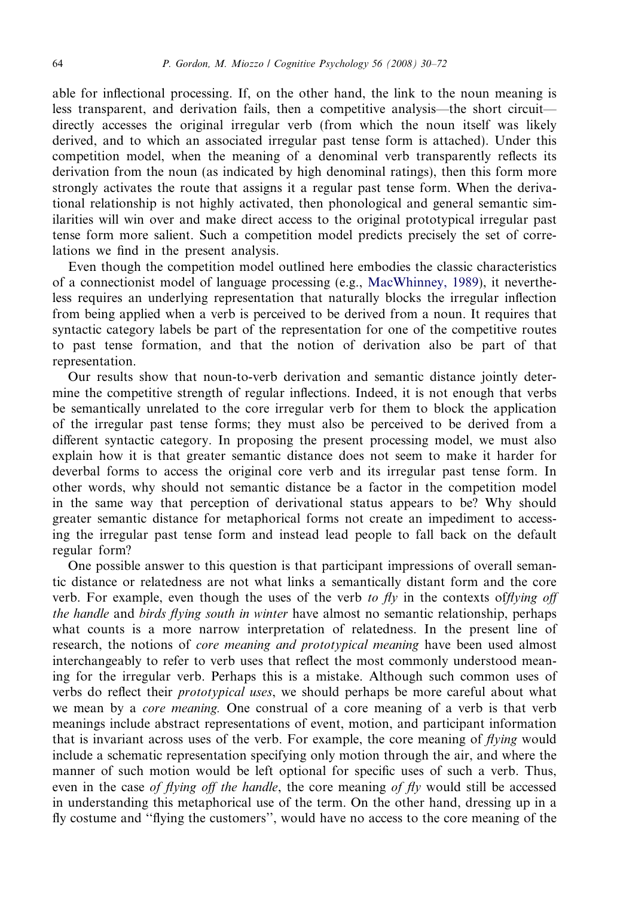able for inflectional processing. If, on the other hand, the link to the noun meaning is less transparent, and derivation fails, then a competitive analysis—the short circuit directly accesses the original irregular verb (from which the noun itself was likely derived, and to which an associated irregular past tense form is attached). Under this competition model, when the meaning of a denominal verb transparently reflects its derivation from the noun (as indicated by high denominal ratings), then this form more strongly activates the route that assigns it a regular past tense form. When the derivational relationship is not highly activated, then phonological and general semantic similarities will win over and make direct access to the original prototypical irregular past tense form more salient. Such a competition model predicts precisely the set of correlations we find in the present analysis.

Even though the competition model outlined here embodies the classic characteristics of a connectionist model of language processing (e.g., [MacWhinney, 1989](#page-42-0)), it nevertheless requires an underlying representation that naturally blocks the irregular inflection from being applied when a verb is perceived to be derived from a noun. It requires that syntactic category labels be part of the representation for one of the competitive routes to past tense formation, and that the notion of derivation also be part of that representation.

Our results show that noun-to-verb derivation and semantic distance jointly determine the competitive strength of regular inflections. Indeed, it is not enough that verbs be semantically unrelated to the core irregular verb for them to block the application of the irregular past tense forms; they must also be perceived to be derived from a different syntactic category. In proposing the present processing model, we must also explain how it is that greater semantic distance does not seem to make it harder for deverbal forms to access the original core verb and its irregular past tense form. In other words, why should not semantic distance be a factor in the competition model in the same way that perception of derivational status appears to be? Why should greater semantic distance for metaphorical forms not create an impediment to accessing the irregular past tense form and instead lead people to fall back on the default regular form?

One possible answer to this question is that participant impressions of overall semantic distance or relatedness are not what links a semantically distant form and the core verb. For example, even though the uses of the verb to  $fly$  in the contexts of flying off the handle and birds flying south in winter have almost no semantic relationship, perhaps what counts is a more narrow interpretation of relatedness. In the present line of research, the notions of *core meaning and prototypical meaning* have been used almost interchangeably to refer to verb uses that reflect the most commonly understood meaning for the irregular verb. Perhaps this is a mistake. Although such common uses of verbs do reflect their prototypical uses, we should perhaps be more careful about what we mean by a core meaning. One construal of a core meaning of a verb is that verb meanings include abstract representations of event, motion, and participant information that is invariant across uses of the verb. For example, the core meaning of *flying* would include a schematic representation specifying only motion through the air, and where the manner of such motion would be left optional for specific uses of such a verb. Thus, even in the case of flying off the handle, the core meaning of  $fly$  would still be accessed in understanding this metaphorical use of the term. On the other hand, dressing up in a fly costume and ''flying the customers'', would have no access to the core meaning of the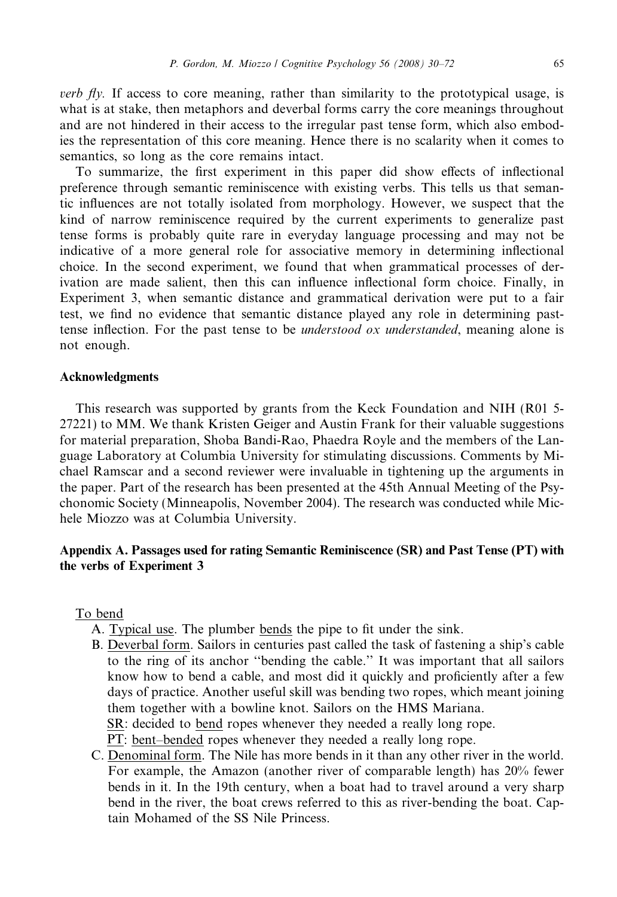*verb fly.* If access to core meaning, rather than similarity to the prototypical usage, is what is at stake, then metaphors and deverbal forms carry the core meanings throughout and are not hindered in their access to the irregular past tense form, which also embodies the representation of this core meaning. Hence there is no scalarity when it comes to semantics, so long as the core remains intact.

To summarize, the first experiment in this paper did show effects of inflectional preference through semantic reminiscence with existing verbs. This tells us that semantic influences are not totally isolated from morphology. However, we suspect that the kind of narrow reminiscence required by the current experiments to generalize past tense forms is probably quite rare in everyday language processing and may not be indicative of a more general role for associative memory in determining inflectional choice. In the second experiment, we found that when grammatical processes of derivation are made salient, then this can influence inflectional form choice. Finally, in Experiment 3, when semantic distance and grammatical derivation were put to a fair test, we find no evidence that semantic distance played any role in determining pasttense inflection. For the past tense to be *understood ox understanded*, meaning alone is not enough.

#### Acknowledgments

This research was supported by grants from the Keck Foundation and NIH (R01 5- 27221) to MM. We thank Kristen Geiger and Austin Frank for their valuable suggestions for material preparation, Shoba Bandi-Rao, Phaedra Royle and the members of the Language Laboratory at Columbia University for stimulating discussions. Comments by Michael Ramscar and a second reviewer were invaluable in tightening up the arguments in the paper. Part of the research has been presented at the 45th Annual Meeting of the Psychonomic Society (Minneapolis, November 2004). The research was conducted while Michele Miozzo was at Columbia University.

# Appendix A. Passages used for rating Semantic Reminiscence (SR) and Past Tense (PT) with the verbs of Experiment 3

To bend

- A. Typical use. The plumber bends the pipe to fit under the sink.
- B. Deverbal form. Sailors in centuries past called the task of fastening a ship's cable to the ring of its anchor ''bending the cable.'' It was important that all sailors know how to bend a cable, and most did it quickly and proficiently after a few days of practice. Another useful skill was bending two ropes, which meant joining them together with a bowline knot. Sailors on the HMS Mariana.

SR: decided to bend ropes whenever they needed a really long rope.

PT: bent–bended ropes whenever they needed a really long rope.

C. Denominal form. The Nile has more bends in it than any other river in the world. For example, the Amazon (another river of comparable length) has 20% fewer bends in it. In the 19th century, when a boat had to travel around a very sharp bend in the river, the boat crews referred to this as river-bending the boat. Captain Mohamed of the SS Nile Princess.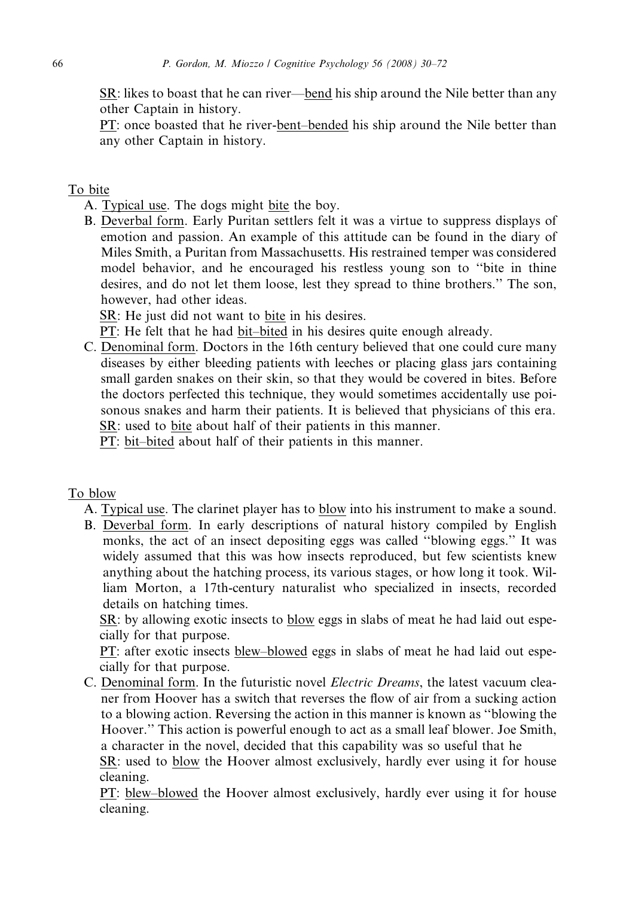SR: likes to boast that he can river—bend his ship around the Nile better than any other Captain in history.

**PT**: once boasted that he river-bent–bended his ship around the Nile better than any other Captain in history.

# To bite

- A. Typical use. The dogs might bite the boy.
- B. Deverbal form. Early Puritan settlers felt it was a virtue to suppress displays of emotion and passion. An example of this attitude can be found in the diary of Miles Smith, a Puritan from Massachusetts. His restrained temper was considered model behavior, and he encouraged his restless young son to ''bite in thine desires, and do not let them loose, lest they spread to thine brothers.'' The son, however, had other ideas.

SR: He just did not want to bite in his desires.

PT: He felt that he had bit–bited in his desires quite enough already.

C. Denominal form. Doctors in the 16th century believed that one could cure many diseases by either bleeding patients with leeches or placing glass jars containing small garden snakes on their skin, so that they would be covered in bites. Before the doctors perfected this technique, they would sometimes accidentally use poisonous snakes and harm their patients. It is believed that physicians of this era. SR: used to bite about half of their patients in this manner.

PT: bit–bited about half of their patients in this manner.

# To blow

A. Typical use. The clarinet player has to **blow** into his instrument to make a sound.

B. Deverbal form. In early descriptions of natural history compiled by English monks, the act of an insect depositing eggs was called ''blowing eggs.'' It was widely assumed that this was how insects reproduced, but few scientists knew anything about the hatching process, its various stages, or how long it took. William Morton, a 17th-century naturalist who specialized in insects, recorded details on hatching times.

SR: by allowing exotic insects to **blow** eggs in slabs of meat he had laid out especially for that purpose.

PT: after exotic insects blew-blowed eggs in slabs of meat he had laid out especially for that purpose.

C. Denominal form. In the futuristic novel Electric Dreams, the latest vacuum cleaner from Hoover has a switch that reverses the flow of air from a sucking action to a blowing action. Reversing the action in this manner is known as ''blowing the Hoover.'' This action is powerful enough to act as a small leaf blower. Joe Smith, a character in the novel, decided that this capability was so useful that he

SR: used to blow the Hoover almost exclusively, hardly ever using it for house cleaning.

PT: blew–blowed the Hoover almost exclusively, hardly ever using it for house cleaning.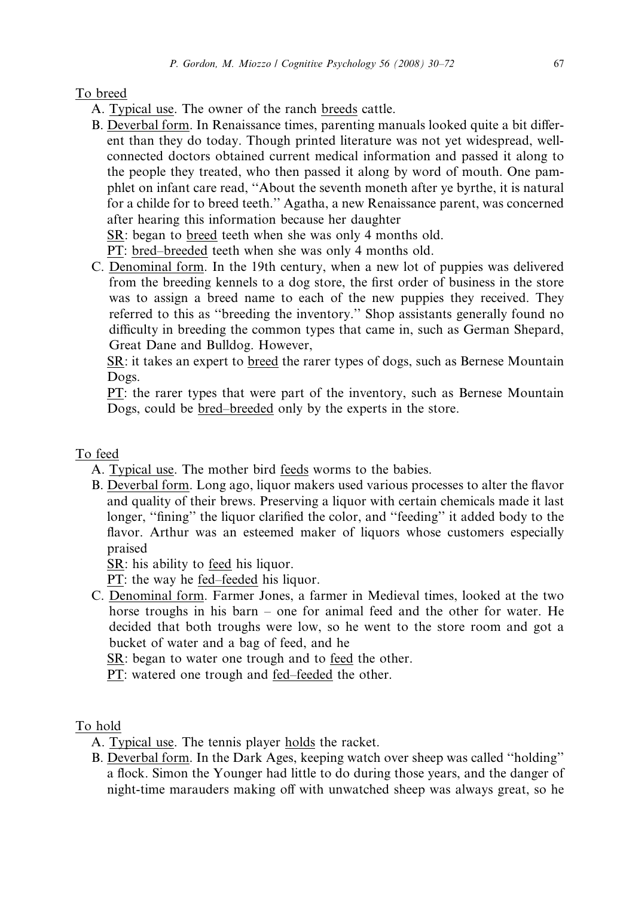# To breed

- A. Typical use. The owner of the ranch breeds cattle.
- B. Deverbal form. In Renaissance times, parenting manuals looked quite a bit different than they do today. Though printed literature was not yet widespread, wellconnected doctors obtained current medical information and passed it along to the people they treated, who then passed it along by word of mouth. One pamphlet on infant care read, ''About the seventh moneth after ye byrthe, it is natural for a childe for to breed teeth.'' Agatha, a new Renaissance parent, was concerned after hearing this information because her daughter

SR: began to breed teeth when she was only 4 months old.

PT: bred–breeded teeth when she was only 4 months old.

C. Denominal form. In the 19th century, when a new lot of puppies was delivered from the breeding kennels to a dog store, the first order of business in the store was to assign a breed name to each of the new puppies they received. They referred to this as ''breeding the inventory.'' Shop assistants generally found no difficulty in breeding the common types that came in, such as German Shepard, Great Dane and Bulldog. However,

SR: it takes an expert to breed the rarer types of dogs, such as Bernese Mountain Dogs.

**PT:** the rarer types that were part of the inventory, such as Bernese Mountain Dogs, could be bred–breeded only by the experts in the store.

# To feed

A. Typical use. The mother bird feeds worms to the babies.

B. Deverbal form. Long ago, liquor makers used various processes to alter the flavor and quality of their brews. Preserving a liquor with certain chemicals made it last longer, "fining" the liquor clarified the color, and "feeding" it added body to the flavor. Arthur was an esteemed maker of liquors whose customers especially praised

SR: his ability to feed his liquor.

PT: the way he fed–feeded his liquor.

C. Denominal form. Farmer Jones, a farmer in Medieval times, looked at the two horse troughs in his barn – one for animal feed and the other for water. He decided that both troughs were low, so he went to the store room and got a bucket of water and a bag of feed, and he

SR: began to water one trough and to feed the other.

PT: watered one trough and fed–feeded the other.

To hold

A. Typical use. The tennis player holds the racket.

B. Deverbal form. In the Dark Ages, keeping watch over sheep was called ''holding'' a flock. Simon the Younger had little to do during those years, and the danger of night-time marauders making off with unwatched sheep was always great, so he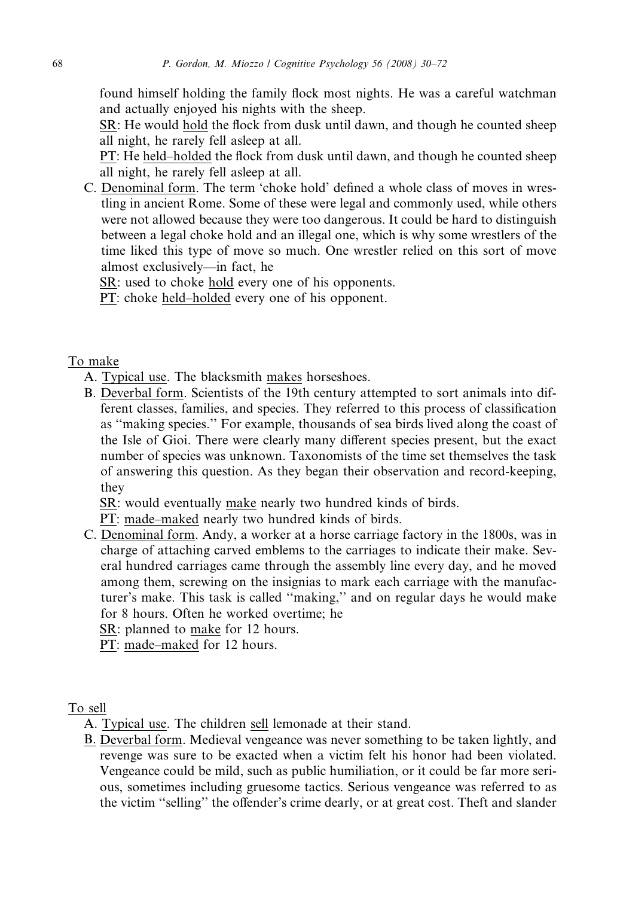found himself holding the family flock most nights. He was a careful watchman and actually enjoyed his nights with the sheep.

SR: He would hold the flock from dusk until dawn, and though he counted sheep all night, he rarely fell asleep at all.

PT: He held–holded the flock from dusk until dawn, and though he counted sheep all night, he rarely fell asleep at all.

C. Denominal form. The term 'choke hold' defined a whole class of moves in wrestling in ancient Rome. Some of these were legal and commonly used, while others were not allowed because they were too dangerous. It could be hard to distinguish between a legal choke hold and an illegal one, which is why some wrestlers of the time liked this type of move so much. One wrestler relied on this sort of move almost exclusively—in fact, he

SR: used to choke hold every one of his opponents.

PT: choke held–holded every one of his opponent.

# To make

- A. Typical use. The blacksmith makes horseshoes.
- B. Deverbal form. Scientists of the 19th century attempted to sort animals into different classes, families, and species. They referred to this process of classification as ''making species.'' For example, thousands of sea birds lived along the coast of the Isle of Gioi. There were clearly many different species present, but the exact number of species was unknown. Taxonomists of the time set themselves the task of answering this question. As they began their observation and record-keeping, they

SR: would eventually make nearly two hundred kinds of birds.

PT: made–maked nearly two hundred kinds of birds.

C. Denominal form. Andy, a worker at a horse carriage factory in the 1800s, was in charge of attaching carved emblems to the carriages to indicate their make. Several hundred carriages came through the assembly line every day, and he moved among them, screwing on the insignias to mark each carriage with the manufacturer's make. This task is called ''making,'' and on regular days he would make for 8 hours. Often he worked overtime; he

SR: planned to make for 12 hours.

PT: made–maked for 12 hours.

# To sell

- A. Typical use. The children sell lemonade at their stand.
- B. Deverbal form. Medieval vengeance was never something to be taken lightly, and revenge was sure to be exacted when a victim felt his honor had been violated. Vengeance could be mild, such as public humiliation, or it could be far more serious, sometimes including gruesome tactics. Serious vengeance was referred to as the victim ''selling'' the offender's crime dearly, or at great cost. Theft and slander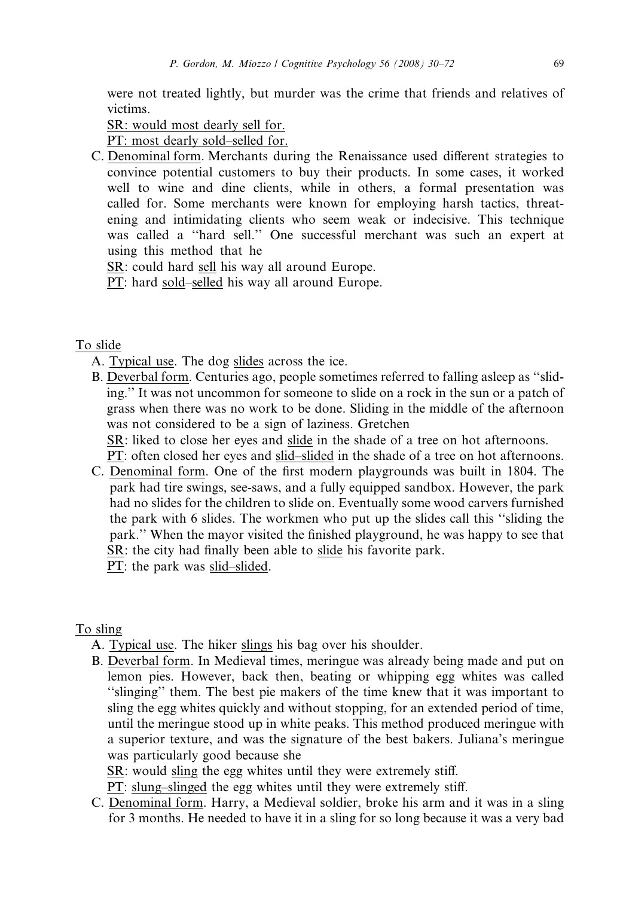were not treated lightly, but murder was the crime that friends and relatives of victims.

SR: would most dearly sell for.

PT: most dearly sold–selled for.

C. Denominal form. Merchants during the Renaissance used different strategies to convince potential customers to buy their products. In some cases, it worked well to wine and dine clients, while in others, a formal presentation was called for. Some merchants were known for employing harsh tactics, threatening and intimidating clients who seem weak or indecisive. This technique was called a ''hard sell.'' One successful merchant was such an expert at using this method that he

SR: could hard sell his way all around Europe.

PT: hard sold–selled his way all around Europe.

# To slide

A. Typical use. The dog slides across the ice.

B. Deverbal form. Centuries ago, people sometimes referred to falling asleep as ''sliding.'' It was not uncommon for someone to slide on a rock in the sun or a patch of grass when there was no work to be done. Sliding in the middle of the afternoon was not considered to be a sign of laziness. Gretchen

SR: liked to close her eyes and slide in the shade of a tree on hot afternoons.

PT: often closed her eyes and slid–slided in the shade of a tree on hot afternoons.

C. Denominal form. One of the first modern playgrounds was built in 1804. The park had tire swings, see-saws, and a fully equipped sandbox. However, the park had no slides for the children to slide on. Eventually some wood carvers furnished the park with 6 slides. The workmen who put up the slides call this ''sliding the park.'' When the mayor visited the finished playground, he was happy to see that SR: the city had finally been able to slide his favorite park.

PT: the park was slid–slided.

To sling

- A. Typical use. The hiker slings his bag over his shoulder.
- B. Deverbal form. In Medieval times, meringue was already being made and put on lemon pies. However, back then, beating or whipping egg whites was called ''slinging'' them. The best pie makers of the time knew that it was important to sling the egg whites quickly and without stopping, for an extended period of time, until the meringue stood up in white peaks. This method produced meringue with a superior texture, and was the signature of the best bakers. Juliana's meringue was particularly good because she

SR: would sling the egg whites until they were extremely stiff.

PT: slung–slinged the egg whites until they were extremely stiff.

C. Denominal form. Harry, a Medieval soldier, broke his arm and it was in a sling for 3 months. He needed to have it in a sling for so long because it was a very bad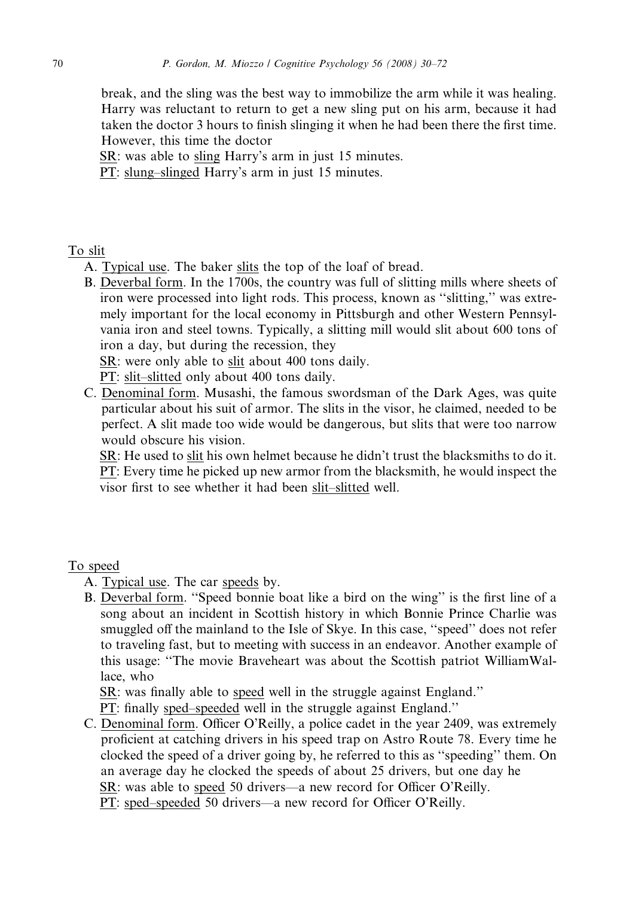break, and the sling was the best way to immobilize the arm while it was healing. Harry was reluctant to return to get a new sling put on his arm, because it had taken the doctor 3 hours to finish slinging it when he had been there the first time. However, this time the doctor

SR: was able to sling Harry's arm in just 15 minutes.

PT: slung–slinged Harry's arm in just 15 minutes.

# To slit

A. Typical use. The baker slits the top of the loaf of bread.

B. Deverbal form. In the 1700s, the country was full of slitting mills where sheets of iron were processed into light rods. This process, known as ''slitting,'' was extremely important for the local economy in Pittsburgh and other Western Pennsylvania iron and steel towns. Typically, a slitting mill would slit about 600 tons of iron a day, but during the recession, they

SR: were only able to slit about 400 tons daily.

PT: slit–slitted only about 400 tons daily.

C. Denominal form. Musashi, the famous swordsman of the Dark Ages, was quite particular about his suit of armor. The slits in the visor, he claimed, needed to be perfect. A slit made too wide would be dangerous, but slits that were too narrow would obscure his vision.

SR: He used to slit his own helmet because he didn't trust the blacksmiths to do it. PT: Every time he picked up new armor from the blacksmith, he would inspect the visor first to see whether it had been slit–slitted well.

# To speed

- A. Typical use. The car speeds by.
- B. Deverbal form. ''Speed bonnie boat like a bird on the wing'' is the first line of a song about an incident in Scottish history in which Bonnie Prince Charlie was smuggled off the mainland to the Isle of Skye. In this case, ''speed'' does not refer to traveling fast, but to meeting with success in an endeavor. Another example of this usage: ''The movie Braveheart was about the Scottish patriot WilliamWallace, who

SR: was finally able to speed well in the struggle against England.''

PT: finally sped–speeded well in the struggle against England."

C. Denominal form. Officer O'Reilly, a police cadet in the year 2409, was extremely proficient at catching drivers in his speed trap on Astro Route 78. Every time he clocked the speed of a driver going by, he referred to this as ''speeding'' them. On an average day he clocked the speeds of about 25 drivers, but one day he SR: was able to speed 50 drivers—a new record for Officer O'Reilly.

PT: sped–speeded 50 drivers—a new record for Officer O'Reilly.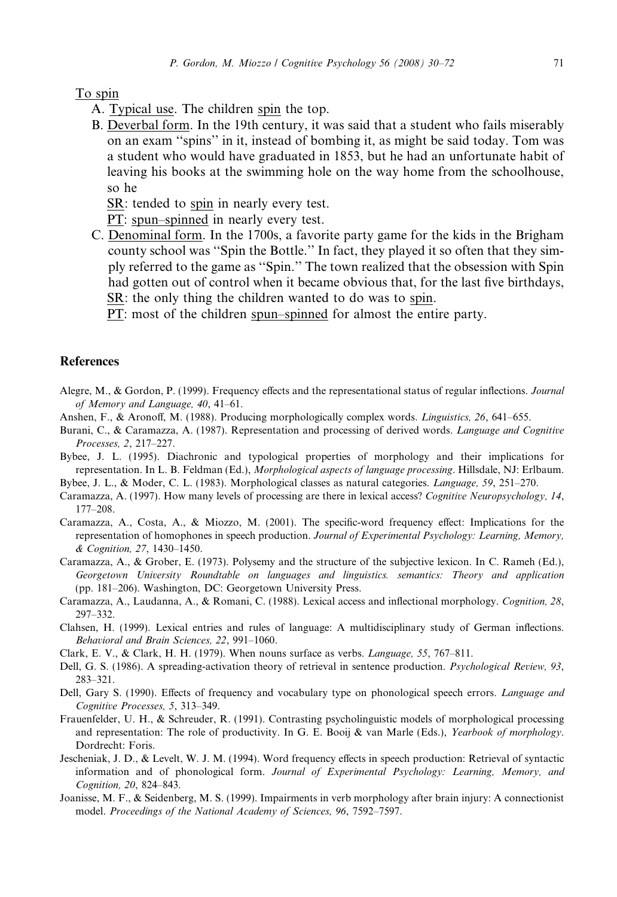#### <span id="page-41-0"></span>To spin

- A. Typical use. The children spin the top.
- B. Deverbal form. In the 19th century, it was said that a student who fails miserably on an exam ''spins'' in it, instead of bombing it, as might be said today. Tom was a student who would have graduated in 1853, but he had an unfortunate habit of leaving his books at the swimming hole on the way home from the schoolhouse, so he

SR: tended to spin in nearly every test.

PT: spun–spinned in nearly every test.

C. Denominal form. In the 1700s, a favorite party game for the kids in the Brigham county school was ''Spin the Bottle.'' In fact, they played it so often that they simply referred to the game as ''Spin.'' The town realized that the obsession with Spin had gotten out of control when it became obvious that, for the last five birthdays, SR: the only thing the children wanted to do was to spin.

PT: most of the children spun–spinned for almost the entire party.

#### **References**

- Alegre, M., & Gordon, P. (1999). Frequency effects and the representational status of regular inflections. Journal of Memory and Language, 40, 41–61.
- Anshen, F., & Aronoff, M. (1988). Producing morphologically complex words. Linguistics, 26, 641–655.
- Burani, C., & Caramazza, A. (1987). Representation and processing of derived words. Language and Cognitive Processes, 2, 217–227.
- Bybee, J. L. (1995). Diachronic and typological properties of morphology and their implications for representation. In L. B. Feldman (Ed.), Morphological aspects of language processing. Hillsdale, NJ: Erlbaum.
- Bybee, J. L., & Moder, C. L. (1983). Morphological classes as natural categories. Language, 59, 251–270.
- Caramazza, A. (1997). How many levels of processing are there in lexical access? Cognitive Neuropsychology, 14, 177–208.
- Caramazza, A., Costa, A., & Miozzo, M. (2001). The specific-word frequency effect: Implications for the representation of homophones in speech production. Journal of Experimental Psychology: Learning, Memory, & Cognition, 27, 1430–1450.
- Caramazza, A., & Grober, E. (1973). Polysemy and the structure of the subjective lexicon. In C. Rameh (Ed.), Georgetown University Roundtable on languages and linguistics. semantics: Theory and application (pp. 181–206). Washington, DC: Georgetown University Press.
- Caramazza, A., Laudanna, A., & Romani, C. (1988). Lexical access and inflectional morphology. Cognition, 28, 297–332.
- Clahsen, H. (1999). Lexical entries and rules of language: A multidisciplinary study of German inflections. Behavioral and Brain Sciences, 22, 991–1060.
- Clark, E. V., & Clark, H. H. (1979). When nouns surface as verbs. Language, 55, 767–811.
- Dell, G. S. (1986). A spreading-activation theory of retrieval in sentence production. Psychological Review, 93, 283–321.
- Dell, Gary S. (1990). Effects of frequency and vocabulary type on phonological speech errors. Language and Cognitive Processes, 5, 313–349.
- Frauenfelder, U. H., & Schreuder, R. (1991). Contrasting psycholinguistic models of morphological processing and representation: The role of productivity. In G. E. Booij & van Marle (Eds.), Yearbook of morphology. Dordrecht: Foris.
- Jescheniak, J. D., & Levelt, W. J. M. (1994). Word frequency effects in speech production: Retrieval of syntactic information and of phonological form. Journal of Experimental Psychology: Learning, Memory, and Cognition, 20, 824–843.
- Joanisse, M. F., & Seidenberg, M. S. (1999). Impairments in verb morphology after brain injury: A connectionist model. Proceedings of the National Academy of Sciences, 96, 7592–7597.